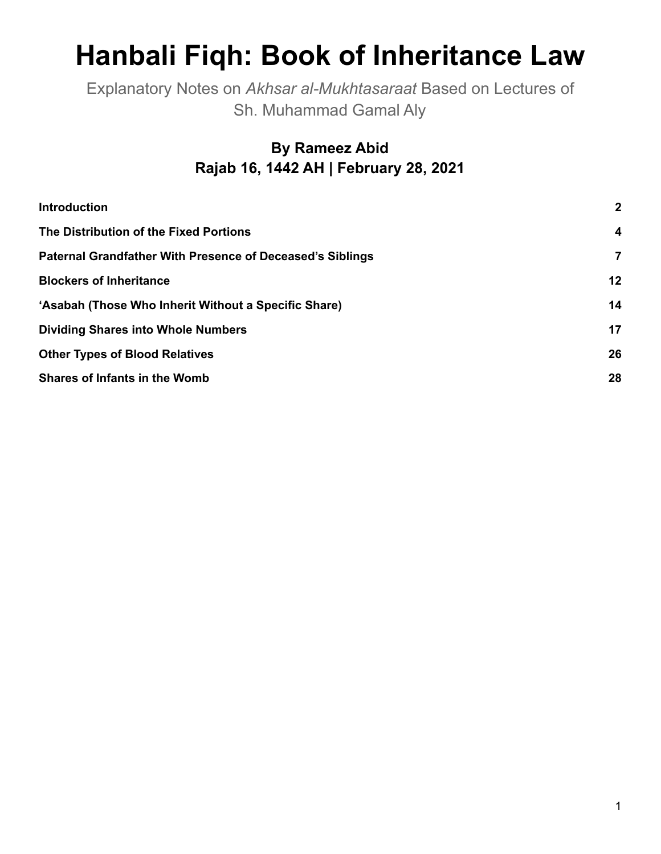# **Hanbali Fiqh: Book of Inheritance Law**

Explanatory Notes on *Akhsar al-Mukhtasaraat* Based on Lectures of Sh. Muhammad Gamal Aly

## **By Rameez Abid Rajab 16, 1442 AH | February 28, 2021**

| <b>Introduction</b>                                              | $\mathbf{2}$   |
|------------------------------------------------------------------|----------------|
| The Distribution of the Fixed Portions                           | 4              |
| <b>Paternal Grandfather With Presence of Deceased's Siblings</b> | $\overline{7}$ |
| <b>Blockers of Inheritance</b>                                   | 12             |
| 'Asabah (Those Who Inherit Without a Specific Share)             | 14             |
| <b>Dividing Shares into Whole Numbers</b>                        | 17             |
| <b>Other Types of Blood Relatives</b>                            | 26             |
| <b>Shares of Infants in the Womb</b>                             | 28             |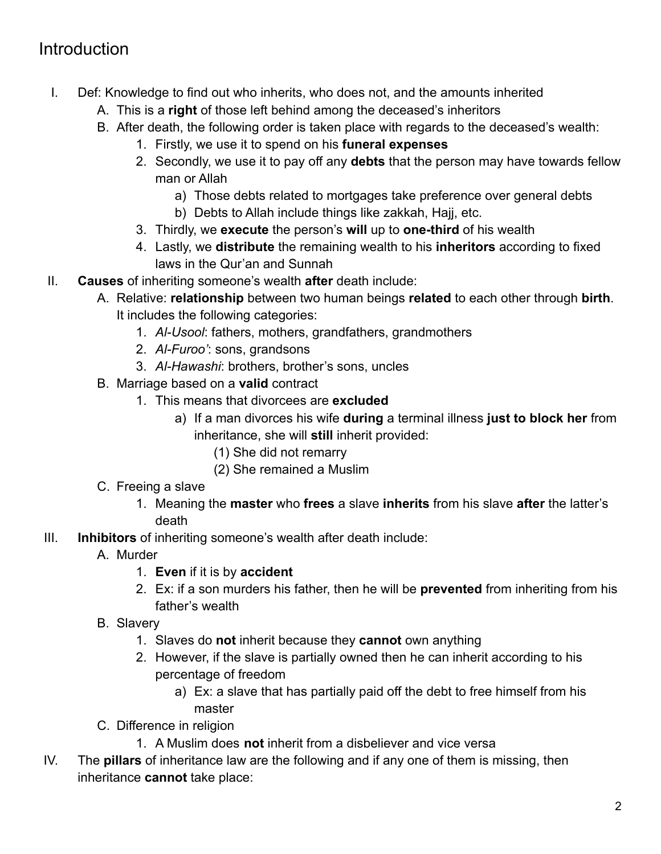## <span id="page-1-0"></span>Introduction

- I. Def: Knowledge to find out who inherits, who does not, and the amounts inherited
	- A. This is a **right** of those left behind among the deceased's inheritors
	- B. After death, the following order is taken place with regards to the deceased's wealth:
		- 1. Firstly, we use it to spend on his **funeral expenses**
		- 2. Secondly, we use it to pay off any **debts** that the person may have towards fellow man or Allah
			- a) Those debts related to mortgages take preference over general debts
			- b) Debts to Allah include things like zakkah, Hajj, etc.
		- 3. Thirdly, we **execute** the person's **will** up to **one-third** of his wealth
		- 4. Lastly, we **distribute** the remaining wealth to his **inheritors** according to fixed laws in the Qur'an and Sunnah
- II. **Causes** of inheriting someone's wealth **after** death include:
	- A. Relative: **relationship** between two human beings **related** to each other through **birth**. It includes the following categories:
		- 1. *Al-Usool*: fathers, mothers, grandfathers, grandmothers
		- 2. *Al-Furoo'*: sons, grandsons
		- 3. *Al-Hawashi*: brothers, brother's sons, uncles
	- B. Marriage based on a **valid** contract
		- 1. This means that divorcees are **excluded**
			- a) If a man divorces his wife **during** a terminal illness **just to block her** from inheritance, she will **still** inherit provided:
				- (1) She did not remarry
				- (2) She remained a Muslim
	- C. Freeing a slave
		- 1. Meaning the **master** who **frees** a slave **inherits** from his slave **after** the latter's death
- III. **Inhibitors** of inheriting someone's wealth after death include:
	- A. Murder
		- 1. **Even** if it is by **accident**
		- 2. Ex: if a son murders his father, then he will be **prevented** from inheriting from his father's wealth
	- B. Slavery
		- 1. Slaves do **not** inherit because they **cannot** own anything
		- 2. However, if the slave is partially owned then he can inherit according to his percentage of freedom
			- a) Ex: a slave that has partially paid off the debt to free himself from his master
	- C. Difference in religion
		- 1. A Muslim does **not** inherit from a disbeliever and vice versa
- IV. The **pillars** of inheritance law are the following and if any one of them is missing, then inheritance **cannot** take place: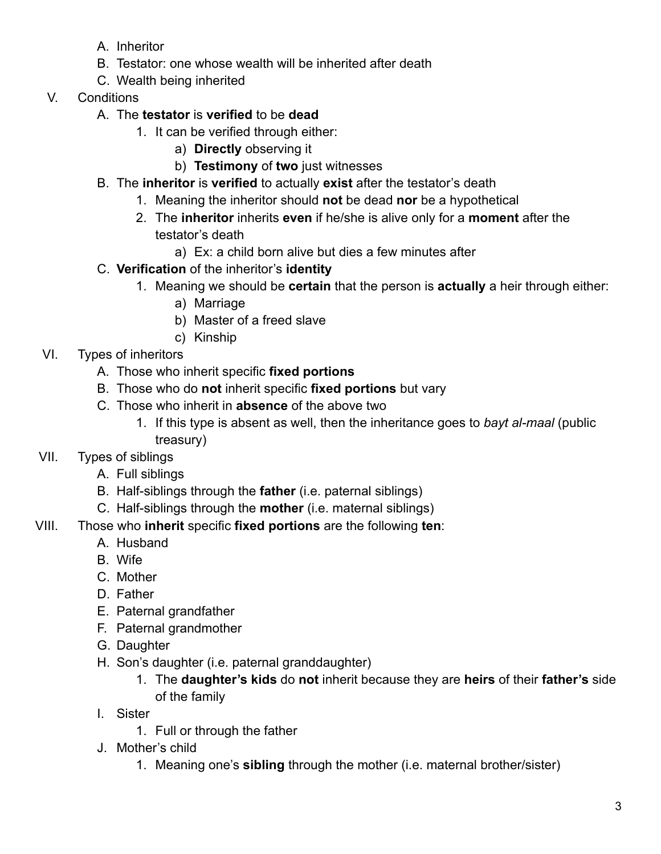- A. Inheritor
- B. Testator: one whose wealth will be inherited after death
- C. Wealth being inherited
- V. Conditions
	- A. The **testator** is **verified** to be **dead**
		- 1. It can be verified through either:
			- a) **Directly** observing it
			- b) **Testimony** of **two** just witnesses
	- B. The **inheritor** is **verified** to actually **exist** after the testator's death
		- 1. Meaning the inheritor should **not** be dead **nor** be a hypothetical
		- 2. The **inheritor** inherits **even** if he/she is alive only for a **moment** after the testator's death
			- a) Ex: a child born alive but dies a few minutes after
	- C. **Verification** of the inheritor's **identity**
		- 1. Meaning we should be **certain** that the person is **actually** a heir through either:
			- a) Marriage
			- b) Master of a freed slave
			- c) Kinship
- VI. Types of inheritors
	- A. Those who inherit specific **fixed portions**
	- B. Those who do **not** inherit specific **fixed portions** but vary
	- C. Those who inherit in **absence** of the above two
		- 1. If this type is absent as well, then the inheritance goes to *bayt al-maal* (public treasury)
- VII. Types of siblings
	- A. Full siblings
	- B. Half-siblings through the **father** (i.e. paternal siblings)
	- C. Half-siblings through the **mother** (i.e. maternal siblings)
- VIII. Those who **inherit** specific **fixed portions** are the following **ten**:
	- A. Husband
	- B. Wife
	- C. Mother
	- D. Father
	- E. Paternal grandfather
	- F. Paternal grandmother
	- G. Daughter
	- H. Son's daughter (i.e. paternal granddaughter)
		- 1. The **daughter's kids** do **not** inherit because they are **heirs** of their **father's** side of the family
	- I. Sister
		- 1. Full or through the father
	- J. Mother's child
		- 1. Meaning one's **sibling** through the mother (i.e. maternal brother/sister)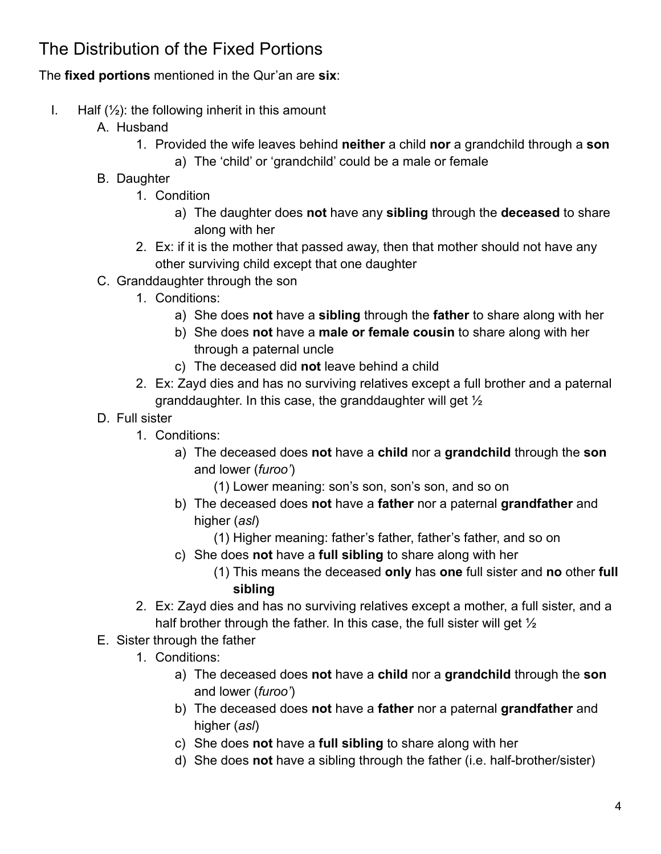## <span id="page-3-0"></span>The Distribution of the Fixed Portions

#### The **fixed portions** mentioned in the Qur'an are **six**:

- I. Half  $(\frac{1}{2})$ : the following inherit in this amount
	- A. Husband
		- 1. Provided the wife leaves behind **neither** a child **nor** a grandchild through a **son**
			- a) The 'child' or 'grandchild' could be a male or female
	- B. Daughter
		- 1. Condition
			- a) The daughter does **not** have any **sibling** through the **deceased** to share along with her
		- 2. Ex: if it is the mother that passed away, then that mother should not have any other surviving child except that one daughter
	- C. Granddaughter through the son
		- 1. Conditions:
			- a) She does **not** have a **sibling** through the **father** to share along with her
			- b) She does **not** have a **male or female cousin** to share along with her through a paternal uncle
			- c) The deceased did **not** leave behind a child
		- 2. Ex: Zayd dies and has no surviving relatives except a full brother and a paternal granddaughter. In this case, the granddaughter will get ½
	- D. Full sister
		- 1. Conditions:
			- a) The deceased does **not** have a **child** nor a **grandchild** through the **son** and lower (*furoo'*)
				- (1) Lower meaning: son's son, son's son, and so on
			- b) The deceased does **not** have a **father** nor a paternal **grandfather** and higher (*asl*)
				- (1) Higher meaning: father's father, father's father, and so on
			- c) She does **not** have a **full sibling** to share along with her
				- (1) This means the deceased **only** has **one** full sister and **no** other **full sibling**
		- 2. Ex: Zayd dies and has no surviving relatives except a mother, a full sister, and a half brother through the father. In this case, the full sister will get  $\frac{1}{2}$
	- E. Sister through the father
		- 1. Conditions:
			- a) The deceased does **not** have a **child** nor a **grandchild** through the **son** and lower (*furoo'*)
			- b) The deceased does **not** have a **father** nor a paternal **grandfather** and higher (*asl*)
			- c) She does **not** have a **full sibling** to share along with her
			- d) She does **not** have a sibling through the father (i.e. half-brother/sister)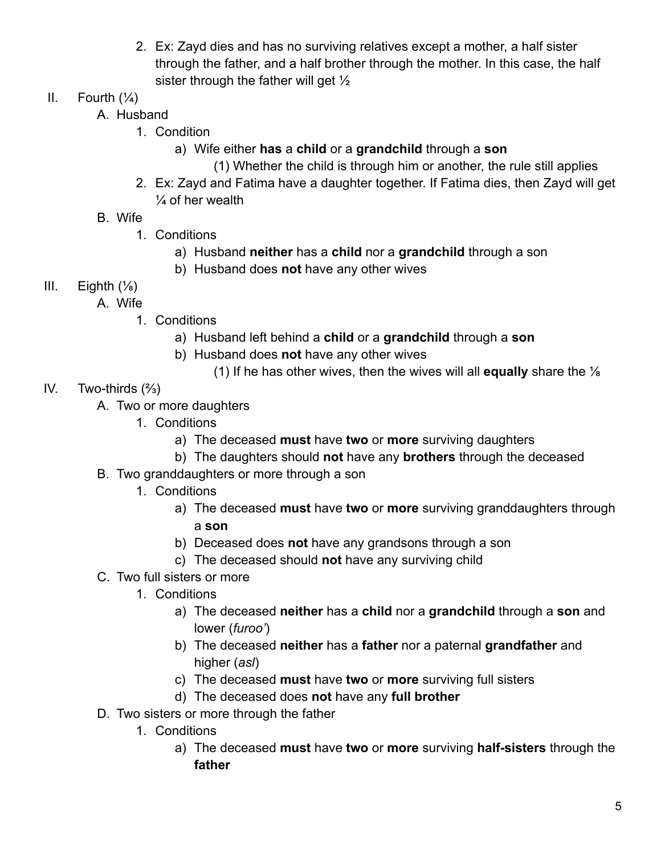- 2. Ex: Zayd dies and has no surviving relatives except a mother, a half sister through the father, and a half brother through the mother. In this case, the half sister through the father will get  $\frac{1}{2}$
- II. Fourth  $(\frac{1}{4})$ 
	- A. Husband
		- 1. Condition
			- a) Wife either **has** a **child** or a **grandchild** through a **son**
				- (1) Whether the child is through him or another, the rule still applies
		- 2. Ex: Zayd and Fatima have a daughter together. If Fatima dies, then Zayd will get  $\frac{1}{4}$  of her wealth
	- B. Wife
		- 1. Conditions
			- a) Husband **neither** has a **child** nor a **grandchild** through a son
			- b) Husband does **not** have any other wives
- III. Eighth  $(\frac{1}{8})$ 
	- A. Wife
		- 1. Conditions
			- a) Husband left behind a **child** or a **grandchild** through a **son**
			- b) Husband does **not** have any other wives
				- (1) If he has other wives, then the wives will all **equally** share the ⅛
- IV. Two-thirds (⅔)
	- A. Two or more daughters
		- 1. Conditions
			- a) The deceased **must** have **two** or **more** surviving daughters
			- b) The daughters should **not** have any **brothers** through the deceased
	- B. Two granddaughters or more through a son
		- 1. Conditions
			- a) The deceased **must** have **two** or **more** surviving granddaughters through a **son**
			- b) Deceased does **not** have any grandsons through a son
			- c) The deceased should **not** have any surviving child
	- C. Two full sisters or more
		- 1. Conditions
			- a) The deceased **neither** has a **child** nor a **grandchild** through a **son** and lower (*furoo'*)
			- b) The deceased **neither** has a **father** nor a paternal **grandfather** and higher (*asl*)
			- c) The deceased **must** have **two** or **more** surviving full sisters
			- d) The deceased does **not** have any **full brother**
	- D. Two sisters or more through the father
		- 1. Conditions
			- a) The deceased **must** have **two** or **more** surviving **half-sisters** through the **father**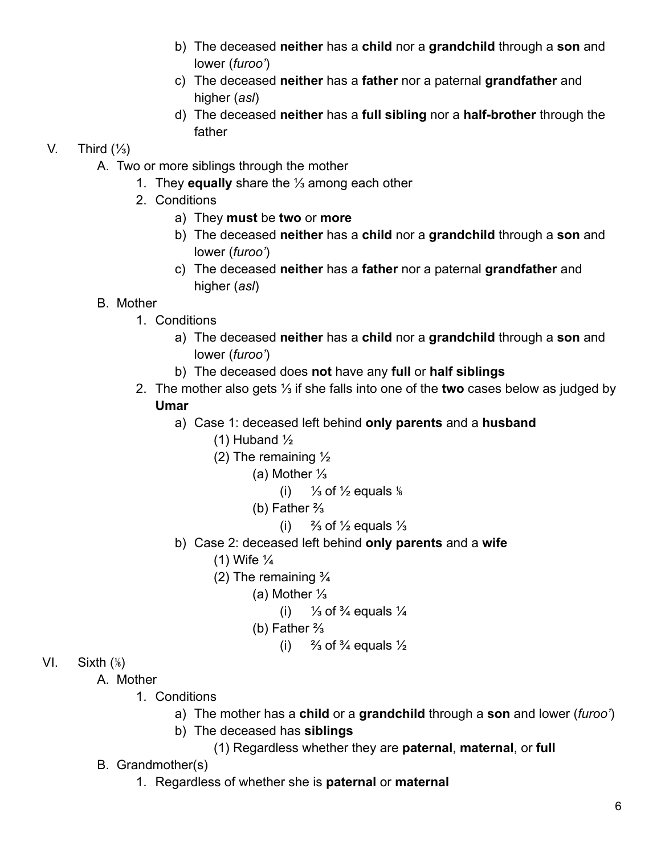- b) The deceased **neither** has a **child** nor a **grandchild** through a **son** and lower (*furoo'*)
- c) The deceased **neither** has a **father** nor a paternal **grandfather** and higher (*asl*)
- d) The deceased **neither** has a **full sibling** nor a **half-brother** through the father

#### V. Third  $(\frac{1}{3})$

- A. Two or more siblings through the mother
	- 1. They **equally** share the ⅓ among each other
	- 2. Conditions
		- a) They **must** be **two** or **more**
		- b) The deceased **neither** has a **child** nor a **grandchild** through a **son** and lower (*furoo'*)
		- c) The deceased **neither** has a **father** nor a paternal **grandfather** and higher (*asl*)

## B. Mother

- 1. Conditions
	- a) The deceased **neither** has a **child** nor a **grandchild** through a **son** and lower (*furoo'*)
	- b) The deceased does **not** have any **full** or **half siblings**
- 2. The mother also gets ⅓ if she falls into one of the **two** cases below as judged by

#### **Umar**

- a) Case 1: deceased left behind **only parents** and a **husband**
	- (1) Huband  $\frac{1}{2}$
	- (2) The remaining  $\frac{1}{2}$ 
		- (a) Mother ⅓
			- (i)  $\frac{1}{3}$  of  $\frac{1}{2}$  equals  $\frac{1}{6}$
		- (b) Father ⅔
			- (i)  $\frac{2}{3}$  of  $\frac{1}{2}$  equals  $\frac{1}{3}$
- b) Case 2: deceased left behind **only parents** and a **wife**
	- (1) Wife  $\frac{1}{4}$
	- (2) The remaining  $\frac{3}{4}$ 
		- (a) Mother ⅓
			- (i)  $\frac{1}{3}$  of  $\frac{3}{4}$  equals  $\frac{1}{4}$
		- (b) Father ⅔
			- (i)  $\frac{2}{3}$  of  $\frac{3}{4}$  equals  $\frac{1}{2}$

#### VI. Sixth  $(\frac{1}{6})$

- A. Mother
	- 1. Conditions
		- a) The mother has a **child** or a **grandchild** through a **son** and lower (*furoo'*)
		- b) The deceased has **siblings**
			- (1) Regardless whether they are **paternal**, **maternal**, or **full**
- B. Grandmother(s)
	- 1. Regardless of whether she is **paternal** or **maternal**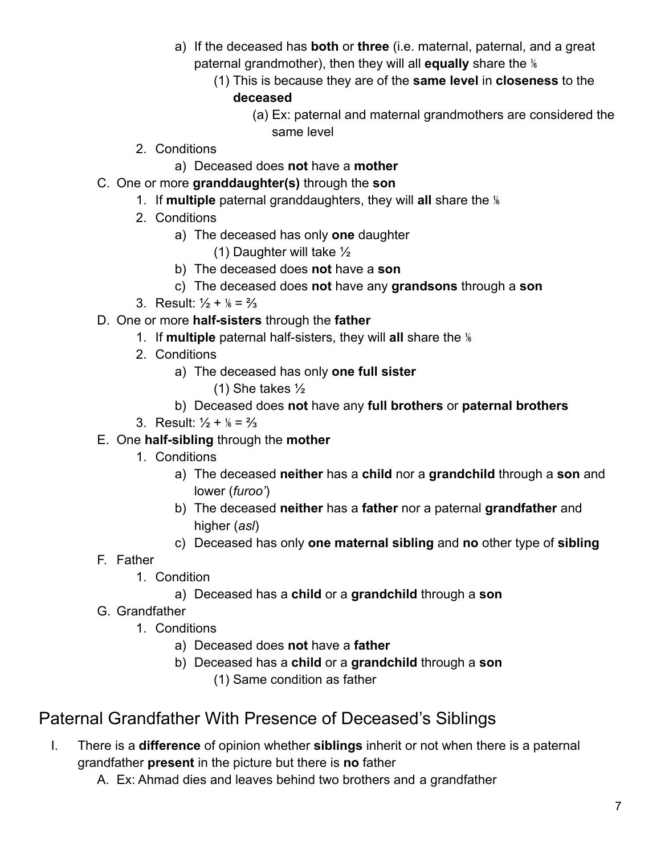- a) If the deceased has **both** or **three** (i.e. maternal, paternal, and a great paternal grandmother), then they will all **equally** share the ⅙
	- (1) This is because they are of the **same level** in **closeness** to the **deceased**
		- (a) Ex: paternal and maternal grandmothers are considered the same level
- 2. Conditions
	- a) Deceased does **not** have a **mother**
- C. One or more **granddaughter(s)** through the **son**
	- 1. If **multiple** paternal granddaughters, they will **all** share the ⅙
	- 2. Conditions
		- a) The deceased has only **one** daughter
			- (1) Daughter will take ½
		- b) The deceased does **not** have a **son**
		- c) The deceased does **not** have any **grandsons** through a **son**
	- 3. Result:  $\frac{1}{2} + \frac{1}{6} = \frac{2}{3}$
- D. One or more **half-sisters** through the **father**
	- 1. If **multiple** paternal half-sisters, they will **all** share the ⅙
	- 2. Conditions
		- a) The deceased has only **one full sister**
			- (1) She takes ½
		- b) Deceased does **not** have any **full brothers** or **paternal brothers**
	- 3. Result:  $\frac{1}{2} + \frac{1}{8} = \frac{2}{3}$
- E. One **half-sibling** through the **mother**
	- 1. Conditions
		- a) The deceased **neither** has a **child** nor a **grandchild** through a **son** and lower (*furoo'*)
		- b) The deceased **neither** has a **father** nor a paternal **grandfather** and higher (*asl*)
		- c) Deceased has only **one maternal sibling** and **no** other type of **sibling**
- F. Father
	- 1. Condition
		- a) Deceased has a **child** or a **grandchild** through a **son**
- G. Grandfather
	- 1. Conditions
		- a) Deceased does **not** have a **father**
		- b) Deceased has a **child** or a **grandchild** through a **son** (1) Same condition as father

# <span id="page-6-0"></span>Paternal Grandfather With Presence of Deceased's Siblings

- I. There is a **difference** of opinion whether **siblings** inherit or not when there is a paternal grandfather **present** in the picture but there is **no** father
	- A. Ex: Ahmad dies and leaves behind two brothers and a grandfather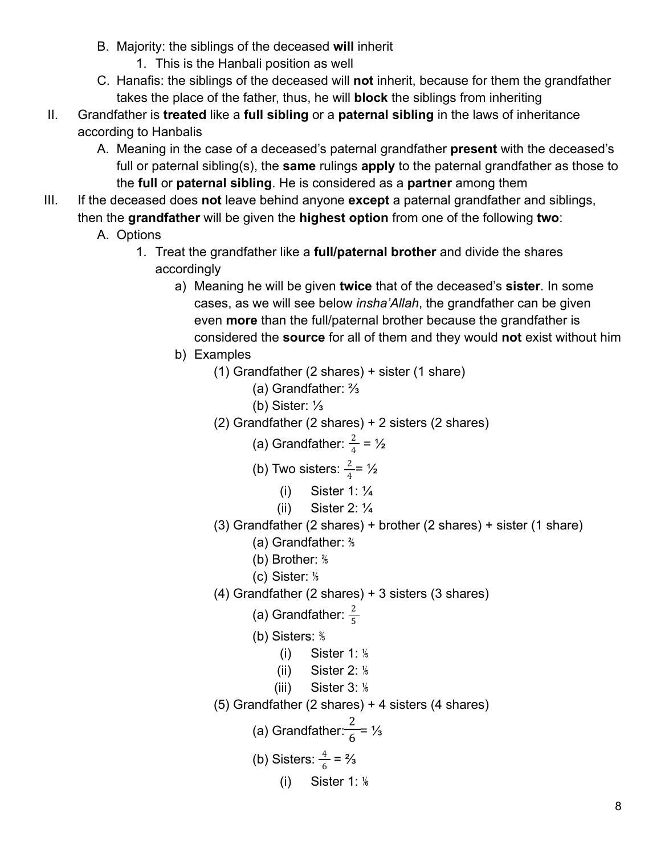- B. Majority: the siblings of the deceased **will** inherit
	- 1. This is the Hanbali position as well
- C. Hanafis: the siblings of the deceased will **not** inherit, because for them the grandfather takes the place of the father, thus, he will **block** the siblings from inheriting
- II. Grandfather is **treated** like a **full sibling** or a **paternal sibling** in the laws of inheritance according to Hanbalis
	- A. Meaning in the case of a deceased's paternal grandfather **present** with the deceased's full or paternal sibling(s), the **same** rulings **apply** to the paternal grandfather as those to the **full** or **paternal sibling**. He is considered as a **partner** among them
- III. If the deceased does **not** leave behind anyone **except** a paternal grandfather and siblings, then the **grandfather** will be given the **highest option** from one of the following **two**:
	- A. Options
		- 1. Treat the grandfather like a **full/paternal brother** and divide the shares accordingly
			- a) Meaning he will be given **twice** that of the deceased's **sister**. In some cases, as we will see below *insha'Allah*, the grandfather can be given even **more** than the full/paternal brother because the grandfather is considered the **source** for all of them and they would **not** exist without him
			- b) Examples
				- (1) Grandfather (2 shares) + sister (1 share)
					- (a) Grandfather: ⅔
					- (b) Sister: ⅓
				- (2) Grandfather (2 shares) + 2 sisters (2 shares)

(a) Grandfather: 
$$
\frac{2}{4} = \frac{1}{2}
$$

(b) Two sisters: 
$$
\frac{2}{4} = \frac{1}{2}
$$

- (i) Sister 1: ¼
- (ii) Sister 2:  $\frac{1}{4}$
- (3) Grandfather (2 shares) + brother (2 shares) + sister (1 share)
	- (a) Grandfather: ⅖
	- (b) Brother: ⅖
	- (c) Sister: ⅕
- (4) Grandfather (2 shares) + 3 sisters (3 shares)
	- (a) Grandfather:  $\frac{2}{5}$
	- (b) Sisters: ⅗
		- $(i)$  Sister 1:  $\frac{1}{6}$
		- (ii) Sister  $2:  $\frac{1}{6}$$
		- $(iii)$  Sister 3:  $\frac{1}{6}$
- (5) Grandfather (2 shares) + 4 sisters (4 shares)
	- (a) Grandfather: $\frac{2}{6}$ = 1⁄<sub>3</sub>

(b) Sisters: 
$$
\frac{4}{6} = \frac{2}{3}
$$

 $(i)$  Sister 1:  $\frac{1}{6}$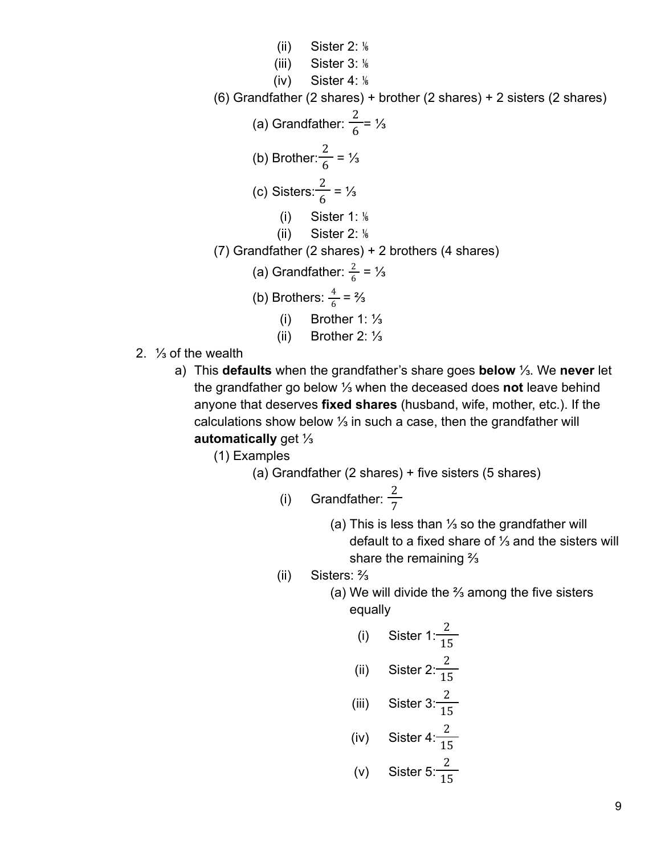(ii) Sister 2:  $\frac{1}{6}$ (iii) Sister 3: ⅙  $(iv)$  Sister 4:  $\frac{1}{6}$ (6) Grandfather (2 shares) + brother (2 shares) + 2 sisters (2 shares) (a) Grandfather:  $\frac{2}{6}$ = 1⁄<sub>3</sub> (b) Brother:  $\frac{2}{6}$  = 1/<sub>3</sub> (c) Sisters: $\frac{2}{6} = \frac{1}{3}$ (i) Sister 1:  $\frac{1}{6}$  $(ii)$  Sister 2:  $\frac{1}{6}$ (7) Grandfather (2 shares) + 2 brothers (4 shares) (a) Grandfather:  $\frac{2}{6}$  = 1⁄3 (b) Brothers:  $\frac{4}{6} = \frac{2}{3}$ (i) Brother 1: ⅓ (ii) Brother 2: ⅓ 2. ⅓ of the wealth

- a) This **defaults** when the grandfather's share goes **below** ⅓. We **never** let the grandfather go below ⅓ when the deceased does **not** leave behind anyone that deserves **fixed shares** (husband, wife, mother, etc.). If the calculations show below ⅓ in such a case, then the grandfather will **automatically** get ⅓
	- (1) Examples

(a) Grandfather (2 shares) + five sisters (5 shares)

- (i) Grandfather:  $\frac{2}{7}$ 
	- (a) This is less than ⅓ so the grandfather will default to a fixed share of ⅓ and the sisters will share the remaining ⅔
- (ii) Sisters: ⅔
	- (a) We will divide the ⅔ among the five sisters equally

(i) Sister 1: 
$$
\frac{2}{15}
$$
  
\n(ii) Sister 2:  $\frac{2}{15}$   
\n(iii) Sister 3:  $\frac{2}{15}$   
\n(iv) Sister 4:  $\frac{2}{15}$   
\n(v) Sister 5:  $\frac{2}{15}$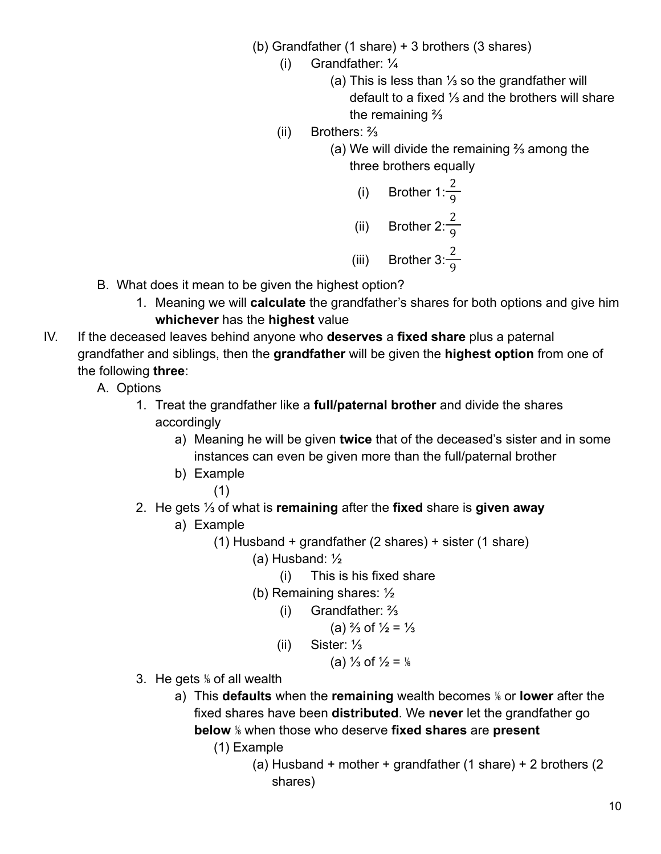- (b) Grandfather (1 share) + 3 brothers (3 shares)
	- (i) Grandfather: ¼
		- (a) This is less than ⅓ so the grandfather will default to a fixed ⅓ and the brothers will share the remaining ⅔
	- (ii) Brothers: ⅔
		- (a) We will divide the remaining ⅔ among the three brothers equally

(i) Brother 
$$
1: \frac{2}{9}
$$
  
(ii) Brother  $2: \frac{2}{9}$   
(iii) Brother  $3: \frac{2}{9}$ 

- B. What does it mean to be given the highest option?
	- 1. Meaning we will **calculate** the grandfather's shares for both options and give him **whichever** has the **highest** value
- IV. If the deceased leaves behind anyone who **deserves** a **fixed share** plus a paternal grandfather and siblings, then the **grandfather** will be given the **highest option** from one of the following **three**:
	- A. Options
		- 1. Treat the grandfather like a **full/paternal brother** and divide the shares accordingly
			- a) Meaning he will be given **twice** that of the deceased's sister and in some instances can even be given more than the full/paternal brother
			- b) Example
				- (1)
		- 2. He gets ⅓ of what is **remaining** after the **fixed** share is **given away**
			- a) Example
				- (1) Husband + grandfather (2 shares) + sister (1 share)
					- (a) Husband: ½
						- (i) This is his fixed share
					- (b) Remaining shares: ½
						- (i) Grandfather: ⅔

(a) 
$$
\frac{2}{3}
$$
 of  $\frac{1}{2} = \frac{1}{3}$ 

(ii) Sister: ⅓

(a) 
$$
\frac{1}{3}
$$
 of  $\frac{1}{2} = \frac{1}{6}$ 

- 3. He gets ⅙ of all wealth
	- a) This **defaults** when the **remaining** wealth becomes ⅙ or **lower** after the fixed shares have been **distributed**. We **never** let the grandfather go **below** ⅙ when those who deserve **fixed shares** are **present**
		- (1) Example
			- (a) Husband + mother + grandfather (1 share) + 2 brothers (2 shares)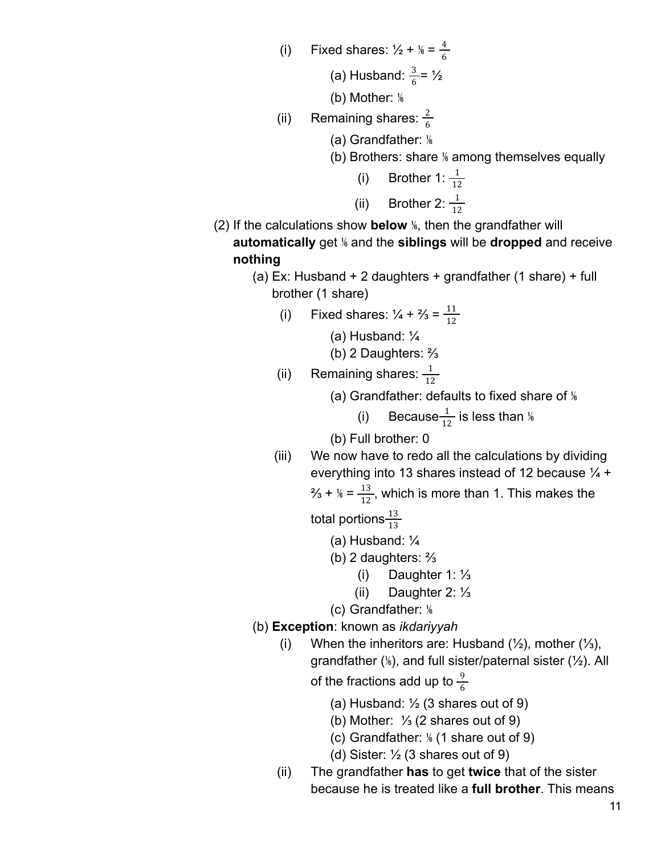(i) Fixed shares:  $\frac{1}{2} + \frac{1}{6} = \frac{4}{6}$ 6

(a) Husband: 
$$
\frac{3}{6} = \frac{1}{2}
$$

(b) Mother:  $\frac{1}{6}$ 

- (ii) Remaining shares:  $\frac{2}{6}$ 
	- (a) Grandfather: ⅙
	- (b) Brothers: share % among themselves equally

(i) Brother 1: 
$$
\frac{1}{12}
$$
\n(ii) Brother 2:  $\frac{1}{12}$ 

- (2) If the calculations show **below** ⅙, then the grandfather will **automatically** get ⅙ and the **siblings** will be **dropped** and receive **nothing**
	- (a) Ex: Husband + 2 daughters + grandfather (1 share) + full brother (1 share)
		- (i) Fixed shares:  $\frac{1}{4} + \frac{2}{3} = \frac{11}{12}$

(a) Husband: ¼

(b) 2 Daughters: ⅔

(ii) Remaining shares:  $\frac{1}{12}$ 

(a) Grandfather: defaults to fixed share of  $\frac{1}{6}$ 

(i) Because $\frac{1}{12}$  is less than  $\frac{1}{6}$ 12

(b) Full brother: 0

(iii) We now have to redo all the calculations by dividing everything into 13 shares instead of 12 because  $\frac{1}{4}$  +

$$
^{2}/_{3} + ^{1}/_{6} = \frac{13}{12}
$$
, which is more than 1. This makes the

total portions $\frac{13}{13}$ 

- (a) Husband: ¼
- (b) 2 daughters: ⅔
	- (i) Daughter 1: ⅓
	- (ii) Daughter 2: ⅓

(c) Grandfather: ⅙

- (b) **Exception**: known as *ikdariyyah*
	- (i) When the inheritors are: Husband  $(\frac{1}{2})$ , mother  $(\frac{1}{3})$ , grandfather (⅙), and full sister/paternal sister (½). All

of the fractions add up to  $\frac{9}{6}$ 

- (a) Husband:  $\frac{1}{2}$  (3 shares out of 9)
- (b) Mother: ⅓ (2 shares out of 9)
- (c) Grandfather: ⅙ (1 share out of 9)
- (d) Sister:  $\frac{1}{2}$  (3 shares out of 9)
- (ii) The grandfather **has** to get **twice** that of the sister because he is treated like a **full brother**. This means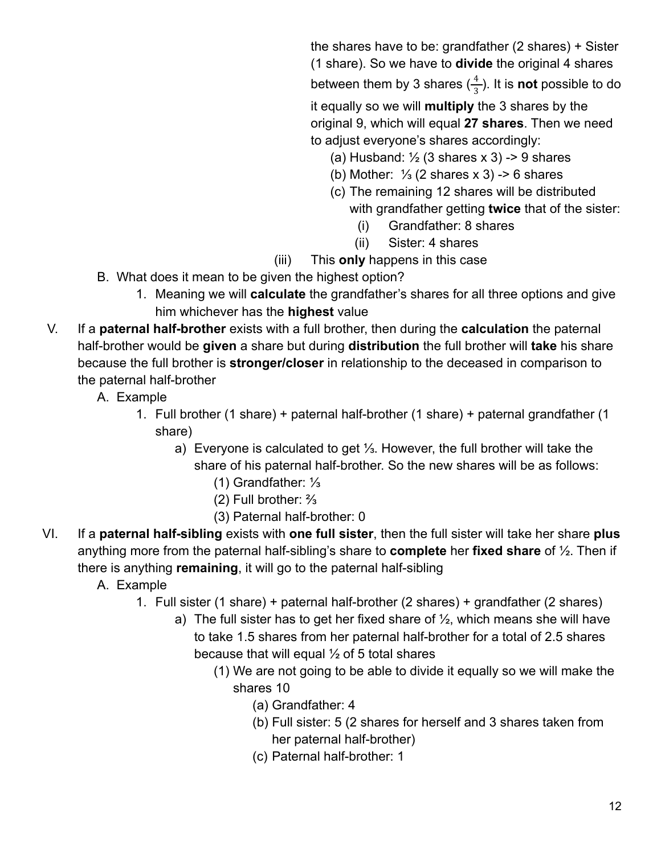the shares have to be: grandfather (2 shares) + Sister (1 share). So we have to **divide** the original 4 shares between them by 3 shares  $(\frac{4}{3})$ . It is **not** possible to do

it equally so we will **multiply** the 3 shares by the original 9, which will equal **27 shares**. Then we need to adjust everyone's shares accordingly:

- (a) Husband:  $\frac{1}{2}$  (3 shares x 3) -> 9 shares
- (b) Mother: ⅓ (2 shares x 3) -> 6 shares
- (c) The remaining 12 shares will be distributed with grandfather getting **twice** that of the sister:
	- (i) Grandfather: 8 shares
	- (ii) Sister: 4 shares
- (iii) This **only** happens in this case
- B. What does it mean to be given the highest option?
	- 1. Meaning we will **calculate** the grandfather's shares for all three options and give him whichever has the **highest** value
- V. If a **paternal half-brother** exists with a full brother, then during the **calculation** the paternal half-brother would be **given** a share but during **distribution** the full brother will **take** his share because the full brother is **stronger/closer** in relationship to the deceased in comparison to the paternal half-brother
	- A. Example
		- 1. Full brother (1 share) + paternal half-brother (1 share) + paternal grandfather (1 share)
			- a) Everyone is calculated to get ⅓. However, the full brother will take the share of his paternal half-brother. So the new shares will be as follows:
				- (1) Grandfather: ⅓
				- (2) Full brother: ⅔
				- (3) Paternal half-brother: 0
- VI. If a **paternal half-sibling** exists with **one full sister**, then the full sister will take her share **plus** anything more from the paternal half-sibling's share to **complete** her **fixed share** of ½. Then if there is anything **remaining**, it will go to the paternal half-sibling
	- A. Example
		- 1. Full sister (1 share) + paternal half-brother (2 shares) + grandfather (2 shares)
			- a) The full sister has to get her fixed share of  $\frac{1}{2}$ , which means she will have to take 1.5 shares from her paternal half-brother for a total of 2.5 shares because that will equal  $\frac{1}{2}$  of 5 total shares
				- (1) We are not going to be able to divide it equally so we will make the shares 10
					- (a) Grandfather: 4
					- (b) Full sister: 5 (2 shares for herself and 3 shares taken from her paternal half-brother)
					- (c) Paternal half-brother: 1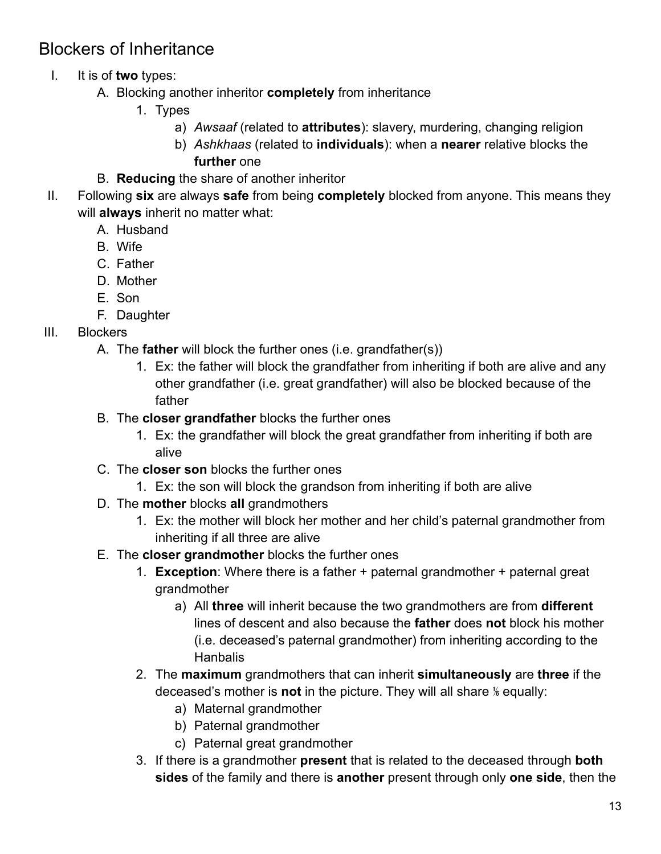## <span id="page-12-0"></span>Blockers of Inheritance

- I. It is of **two** types:
	- A. Blocking another inheritor **completely** from inheritance
		- 1. Types
			- a) *Awsaaf* (related to **attributes**): slavery, murdering, changing religion
			- b) *Ashkhaas* (related to **individuals**): when a **nearer** relative blocks the **further** one
	- B. **Reducing** the share of another inheritor
- II. Following **six** are always **safe** from being **completely** blocked from anyone. This means they will **always** inherit no matter what:
	- A. Husband
	- B. Wife
	- C. Father
	- D. Mother
	- E. Son
	- F. Daughter
- III. Blockers
	- A. The **father** will block the further ones (i.e. grandfather(s))
		- 1. Ex: the father will block the grandfather from inheriting if both are alive and any other grandfather (i.e. great grandfather) will also be blocked because of the father
	- B. The **closer grandfather** blocks the further ones
		- 1. Ex: the grandfather will block the great grandfather from inheriting if both are alive
	- C. The **closer son** blocks the further ones
		- 1. Ex: the son will block the grandson from inheriting if both are alive
	- D. The **mother** blocks **all** grandmothers
		- 1. Ex: the mother will block her mother and her child's paternal grandmother from inheriting if all three are alive
	- E. The **closer grandmother** blocks the further ones
		- 1. **Exception**: Where there is a father + paternal grandmother + paternal great grandmother
			- a) All **three** will inherit because the two grandmothers are from **different** lines of descent and also because the **father** does **not** block his mother (i.e. deceased's paternal grandmother) from inheriting according to the **Hanbalis**
		- 2. The **maximum** grandmothers that can inherit **simultaneously** are **three** if the deceased's mother is **not** in the picture. They will all share ⅙ equally:
			- a) Maternal grandmother
			- b) Paternal grandmother
			- c) Paternal great grandmother
		- 3. If there is a grandmother **present** that is related to the deceased through **both sides** of the family and there is **another** present through only **one side**, then the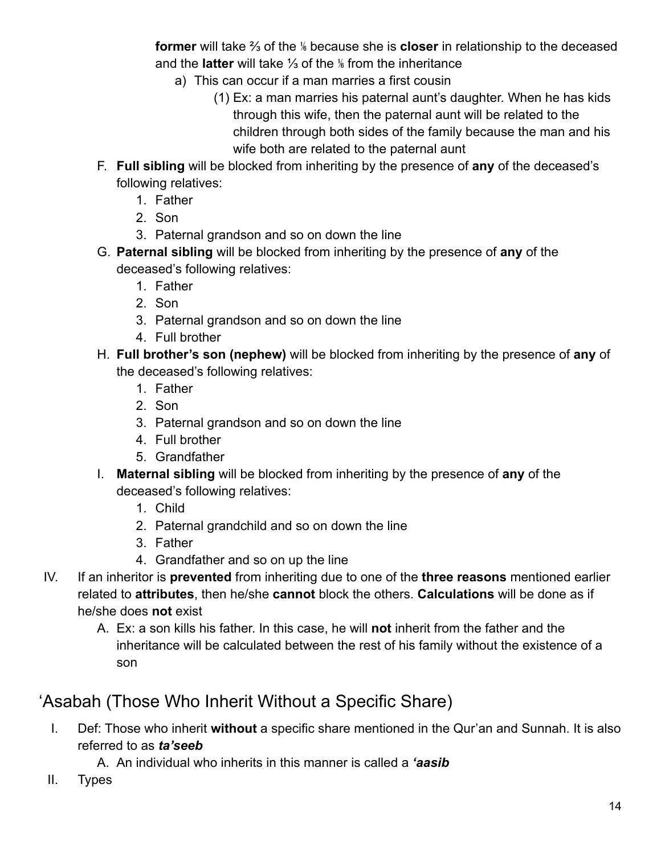**former** will take ⅔ of the ⅙ because she is **closer** in relationship to the deceased and the **latter** will take ⅓ of the ⅙ from the inheritance

- a) This can occur if a man marries a first cousin
	- (1) Ex: a man marries his paternal aunt's daughter. When he has kids through this wife, then the paternal aunt will be related to the children through both sides of the family because the man and his wife both are related to the paternal aunt
- F. **Full sibling** will be blocked from inheriting by the presence of **any** of the deceased's following relatives:
	- 1. Father
	- 2. Son
	- 3. Paternal grandson and so on down the line
- G. **Paternal sibling** will be blocked from inheriting by the presence of **any** of the deceased's following relatives:
	- 1. Father
	- 2. Son
	- 3. Paternal grandson and so on down the line
	- 4. Full brother
- H. **Full brother's son (nephew)** will be blocked from inheriting by the presence of **any** of the deceased's following relatives:
	- 1. Father
	- 2. Son
	- 3. Paternal grandson and so on down the line
	- 4. Full brother
	- 5. Grandfather
- I. **Maternal sibling** will be blocked from inheriting by the presence of **any** of the deceased's following relatives:
	- 1. Child
	- 2. Paternal grandchild and so on down the line
	- 3. Father
	- 4. Grandfather and so on up the line
- IV. If an inheritor is **prevented** from inheriting due to one of the **three reasons** mentioned earlier related to **attributes**, then he/she **cannot** block the others. **Calculations** will be done as if he/she does **not** exist
	- A. Ex: a son kills his father. In this case, he will **not** inherit from the father and the inheritance will be calculated between the rest of his family without the existence of a son

## <span id="page-13-0"></span>'Asabah (Those Who Inherit Without a Specific Share)

- I. Def: Those who inherit **without** a specific share mentioned in the Qur'an and Sunnah. It is also referred to as *ta'seeb*
	- A. An individual who inherits in this manner is called a *'aasib*
- II. Types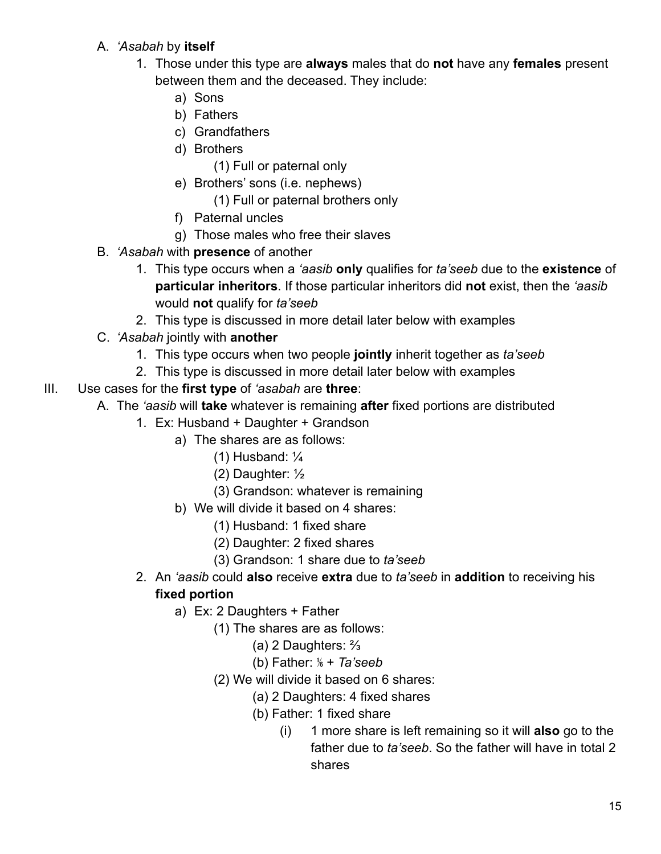- A. *'Asabah* by **itself**
	- 1. Those under this type are **always** males that do **not** have any **females** present between them and the deceased. They include:
		- a) Sons
		- b) Fathers
		- c) Grandfathers
		- d) Brothers
			- (1) Full or paternal only
		- e) Brothers' sons (i.e. nephews)
			- (1) Full or paternal brothers only
		- f) Paternal uncles
		- g) Those males who free their slaves
- B. *'Asabah* with **presence** of another
	- 1. This type occurs when a *'aasib* **only** qualifies for *ta'seeb* due to the **existence** of **particular inheritors**. If those particular inheritors did **not** exist, then the *'aasib* would **not** qualify for *ta'seeb*
	- 2. This type is discussed in more detail later below with examples
- C. *'Asabah* jointly with **another**
	- 1. This type occurs when two people **jointly** inherit together as *ta'seeb*
	- 2. This type is discussed in more detail later below with examples
- III. Use cases for the **first type** of *'asabah* are **three**:
	- A. The *'aasib* will **take** whatever is remaining **after** fixed portions are distributed
		- 1. Ex: Husband + Daughter + Grandson
			- a) The shares are as follows:
				- (1) Husband: ¼
				- (2) Daughter: ½
				- (3) Grandson: whatever is remaining
			- b) We will divide it based on 4 shares:
				- (1) Husband: 1 fixed share
				- (2) Daughter: 2 fixed shares
				- (3) Grandson: 1 share due to *ta'seeb*
		- 2. An *'aasib* could **also** receive **extra** due to *ta'seeb* in **addition** to receiving his **fixed portion**
			- a) Ex: 2 Daughters + Father
				- (1) The shares are as follows:
					- (a) 2 Daughters: ⅔
					- (b) Father: ⅙ + *Ta'seeb*
				- (2) We will divide it based on 6 shares:
					- (a) 2 Daughters: 4 fixed shares
					- (b) Father: 1 fixed share
						- (i) 1 more share is left remaining so it will **also** go to the father due to *ta'seeb*. So the father will have in total 2 shares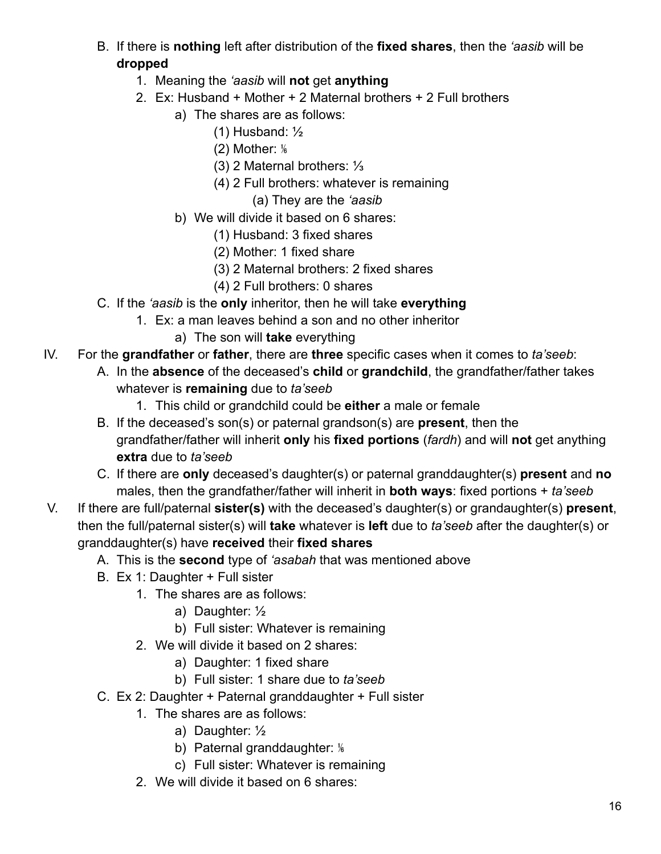- B. If there is **nothing** left after distribution of the **fixed shares**, then the *'aasib* will be **dropped**
	- 1. Meaning the *'aasib* will **not** get **anything**
	- 2. Ex: Husband + Mother + 2 Maternal brothers + 2 Full brothers
		- a) The shares are as follows:
			- (1) Husband: ½
			- $(2)$  Mother:  $\frac{1}{6}$
			- (3) 2 Maternal brothers: ⅓
			- (4) 2 Full brothers: whatever is remaining
				- (a) They are the *'aasib*
		- b) We will divide it based on 6 shares:
			- (1) Husband: 3 fixed shares
			- (2) Mother: 1 fixed share
			- (3) 2 Maternal brothers: 2 fixed shares
			- (4) 2 Full brothers: 0 shares
- C. If the *'aasib* is the **only** inheritor, then he will take **everything**
	- 1. Ex: a man leaves behind a son and no other inheritor
		- a) The son will **take** everything
- IV. For the **grandfather** or **father**, there are **three** specific cases when it comes to *ta'seeb*:
	- A. In the **absence** of the deceased's **child** or **grandchild**, the grandfather/father takes whatever is **remaining** due to *ta'seeb*
		- 1. This child or grandchild could be **either** a male or female
		- B. If the deceased's son(s) or paternal grandson(s) are **present**, then the grandfather/father will inherit **only** his **fixed portions** (*fardh*) and will **not** get anything **extra** due to *ta'seeb*
		- C. If there are **only** deceased's daughter(s) or paternal granddaughter(s) **present** and **no** males, then the grandfather/father will inherit in **both ways**: fixed portions + *ta'seeb*
- V. If there are full/paternal **sister(s)** with the deceased's daughter(s) or grandaughter(s) **present**, then the full/paternal sister(s) will **take** whatever is **left** due to *ta'seeb* after the daughter(s) or granddaughter(s) have **received** their **fixed shares**
	- A. This is the **second** type of *'asabah* that was mentioned above
	- B. Ex 1: Daughter + Full sister
		- 1. The shares are as follows:
			- a) Daughter: ½
			- b) Full sister: Whatever is remaining
		- 2. We will divide it based on 2 shares:
			- a) Daughter: 1 fixed share
			- b) Full sister: 1 share due to *ta'seeb*
	- C. Ex 2: Daughter + Paternal granddaughter + Full sister
		- 1. The shares are as follows:
			- a) Daughter: ½
			- b) Paternal granddaughter: %
			- c) Full sister: Whatever is remaining
		- 2. We will divide it based on 6 shares: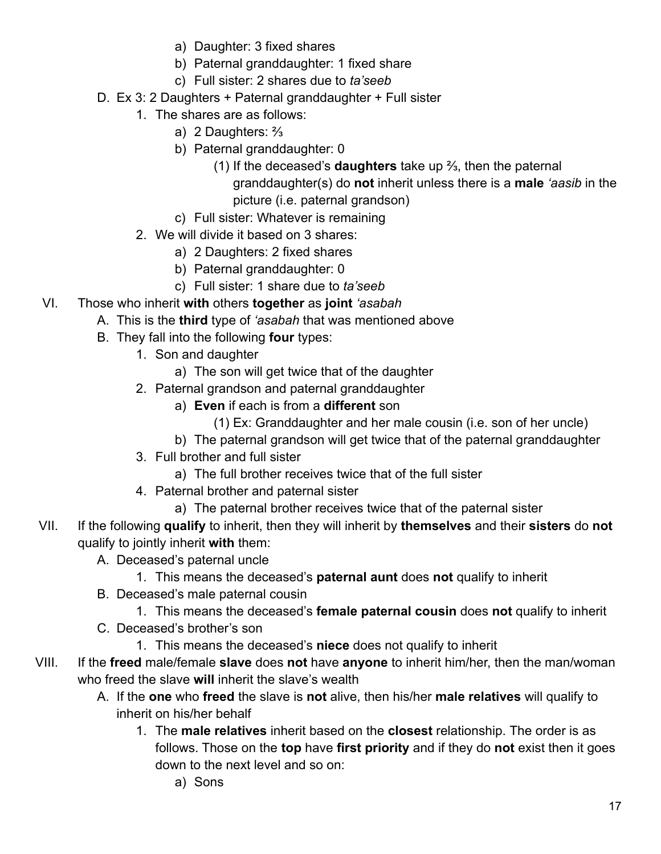- a) Daughter: 3 fixed shares
- b) Paternal granddaughter: 1 fixed share
- c) Full sister: 2 shares due to *ta'seeb*
- D. Ex 3: 2 Daughters + Paternal granddaughter + Full sister
	- 1. The shares are as follows:
		- a) 2 Daughters: ⅔
		- b) Paternal granddaughter: 0
			- (1) If the deceased's **daughters** take up ⅔, then the paternal granddaughter(s) do **not** inherit unless there is a **male** *'aasib* in the picture (i.e. paternal grandson)
		- c) Full sister: Whatever is remaining
	- 2. We will divide it based on 3 shares:
		- a) 2 Daughters: 2 fixed shares
		- b) Paternal granddaughter: 0
		- c) Full sister: 1 share due to *ta'seeb*
- VI. Those who inherit **with** others **together** as **joint** *'asabah*
	- A. This is the **third** type of *'asabah* that was mentioned above
	- B. They fall into the following **four** types:
		- 1. Son and daughter
			- a) The son will get twice that of the daughter
		- 2. Paternal grandson and paternal granddaughter
			- a) **Even** if each is from a **different** son
				- (1) Ex: Granddaughter and her male cousin (i.e. son of her uncle)
				- b) The paternal grandson will get twice that of the paternal granddaughter
		- 3. Full brother and full sister
			- a) The full brother receives twice that of the full sister
		- 4. Paternal brother and paternal sister
			- a) The paternal brother receives twice that of the paternal sister
- VII. If the following **qualify** to inherit, then they will inherit by **themselves** and their **sisters** do **not** qualify to jointly inherit **with** them:
	- A. Deceased's paternal uncle
		- 1. This means the deceased's **paternal aunt** does **not** qualify to inherit
	- B. Deceased's male paternal cousin
		- 1. This means the deceased's **female paternal cousin** does **not** qualify to inherit
	- C. Deceased's brother's son
		- 1. This means the deceased's **niece** does not qualify to inherit
- VIII. If the **freed** male/female **slave** does **not** have **anyone** to inherit him/her, then the man/woman who freed the slave **will** inherit the slave's wealth
	- A. If the **one** who **freed** the slave is **not** alive, then his/her **male relatives** will qualify to inherit on his/her behalf
		- 1. The **male relatives** inherit based on the **closest** relationship. The order is as follows. Those on the **top** have **first priority** and if they do **not** exist then it goes down to the next level and so on:
			- a) Sons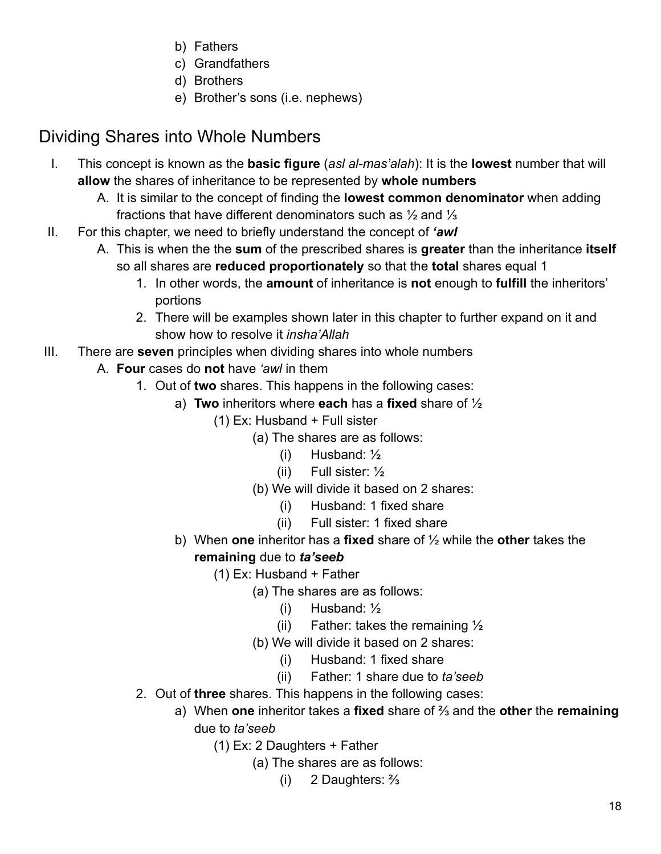- b) Fathers
- c) Grandfathers
- d) Brothers
- e) Brother's sons (i.e. nephews)

# <span id="page-17-0"></span>Dividing Shares into Whole Numbers

- I. This concept is known as the **basic figure** (*asl al-mas'alah*): It is the **lowest** number that will **allow** the shares of inheritance to be represented by **whole numbers**
	- A. It is similar to the concept of finding the **lowest common denominator** when adding fractions that have different denominators such as ½ and ⅓
- II. For this chapter, we need to briefly understand the concept of *'awl*
	- A. This is when the the **sum** of the prescribed shares is **greater** than the inheritance **itself** so all shares are **reduced proportionately** so that the **total** shares equal 1
		- 1. In other words, the **amount** of inheritance is **not** enough to **fulfill** the inheritors' portions
		- 2. There will be examples shown later in this chapter to further expand on it and show how to resolve it *insha'Allah*
- III. There are **seven** principles when dividing shares into whole numbers
	- A. **Four** cases do **not** have *'awl* in them
		- 1. Out of **two** shares. This happens in the following cases:
			- a) **Two** inheritors where **each** has a **fixed** share of ½
				- (1) Ex: Husband + Full sister
					- (a) The shares are as follows:
						- (i) Husband:  $\frac{1}{2}$
						- (ii) Full sister:  $\frac{1}{2}$
					- (b) We will divide it based on 2 shares:
						- (i) Husband: 1 fixed share
						- (ii) Full sister: 1 fixed share
			- b) When **one** inheritor has a **fixed** share of ½ while the **other** takes the **remaining** due to *ta'seeb*
				- (1) Ex: Husband + Father
					- (a) The shares are as follows:
						- (i) Husband: ½
						- (ii) Father: takes the remaining  $\frac{1}{2}$
					- (b) We will divide it based on 2 shares:
						- (i) Husband: 1 fixed share
						- (ii) Father: 1 share due to *ta'seeb*
		- 2. Out of **three** shares. This happens in the following cases:
			- a) When **one** inheritor takes a **fixed** share of ⅔ and the **other** the **remaining** due to *ta'seeb*
				- (1) Ex: 2 Daughters + Father
					- (a) The shares are as follows:
						- (i) 2 Daughters: ⅔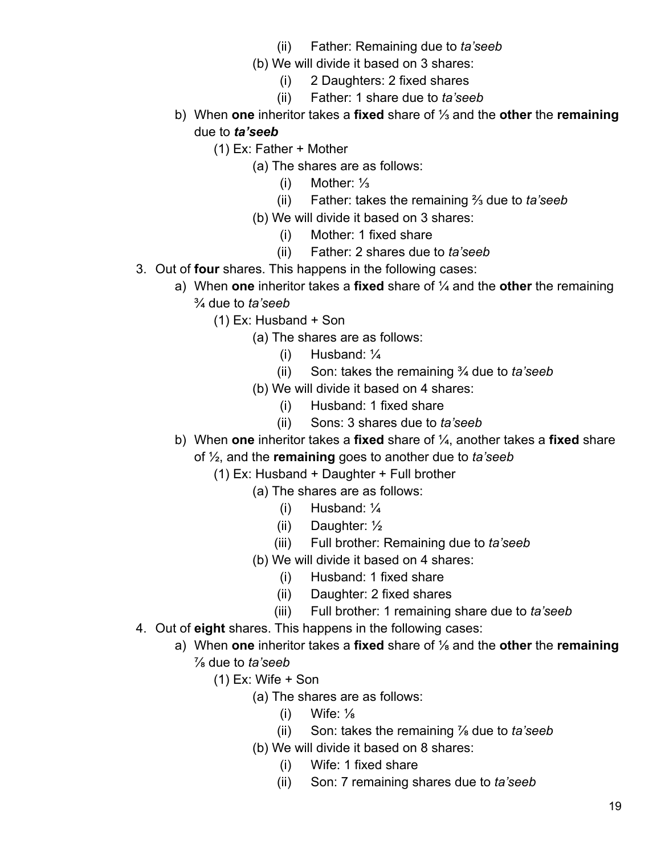- (ii) Father: Remaining due to *ta'seeb*
- (b) We will divide it based on 3 shares:
	- (i) 2 Daughters: 2 fixed shares
	- (ii) Father: 1 share due to *ta'seeb*
- b) When **one** inheritor takes a **fixed** share of ⅓ and the **other** the **remaining** due to *ta'seeb*
	- (1) Ex: Father + Mother
		- (a) The shares are as follows:
			- (i) Mother: ⅓
			- (ii) Father: takes the remaining ⅔ due to *ta'seeb*
		- (b) We will divide it based on 3 shares:
			- (i) Mother: 1 fixed share
			- (ii) Father: 2 shares due to *ta'seeb*
- 3. Out of **four** shares. This happens in the following cases:
	- a) When **one** inheritor takes a **fixed** share of ¼ and the **other** the remaining ¾ due to *ta'seeb*
		- (1) Ex: Husband + Son
			- (a) The shares are as follows:
				- (i) Husband:  $\frac{1}{4}$
				- (ii) Son: takes the remaining ¾ due to *ta'seeb*
			- (b) We will divide it based on 4 shares:
				- (i) Husband: 1 fixed share
				- (ii) Sons: 3 shares due to *ta'seeb*
	- b) When **one** inheritor takes a **fixed** share of ¼, another takes a **fixed** share
		- of ½, and the **remaining** goes to another due to *ta'seeb*
			- (1) Ex: Husband + Daughter + Full brother
				- (a) The shares are as follows:
					- (i) Husband: ¼
					- (ii) Daughter: ½
					- (iii) Full brother: Remaining due to *ta'seeb*
					- (b) We will divide it based on 4 shares:
						- (i) Husband: 1 fixed share
						- (ii) Daughter: 2 fixed shares
						- (iii) Full brother: 1 remaining share due to *ta'seeb*
- 4. Out of **eight** shares. This happens in the following cases:
	- a) When **one** inheritor takes a **fixed** share of ⅛ and the **other** the **remaining** ⅞ due to *ta'seeb*
		- $(1)$  Ex: Wife  $+$  Son
			- (a) The shares are as follows:
				- $(i)$  Wife:  $\frac{1}{8}$
				- (ii) Son: takes the remaining ⅞ due to *ta'seeb*
			- (b) We will divide it based on 8 shares:
				- (i) Wife: 1 fixed share
				- (ii) Son: 7 remaining shares due to *ta'seeb*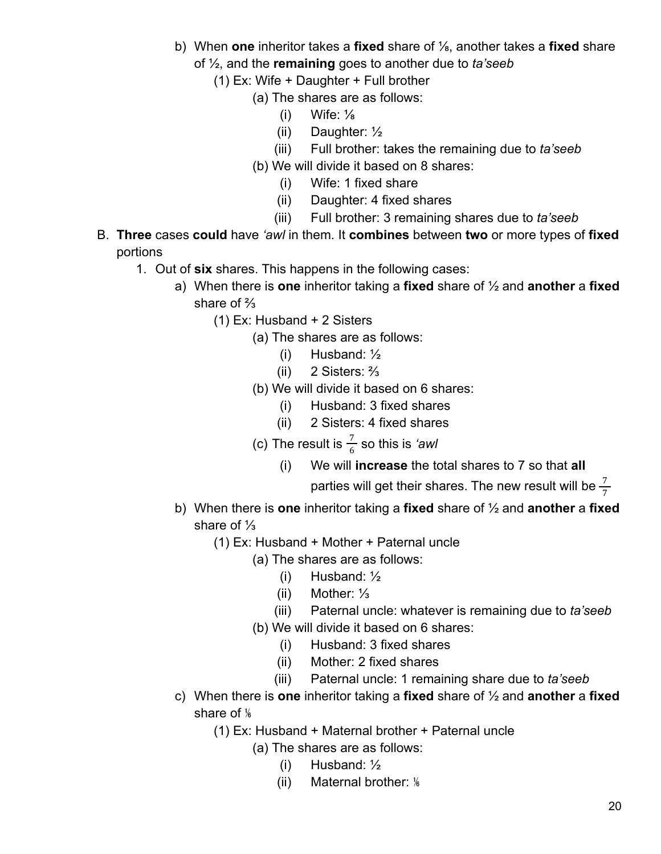- b) When **one** inheritor takes a **fixed** share of ⅛, another takes a **fixed** share of ½, and the **remaining** goes to another due to *ta'seeb*
	- (1) Ex: Wife + Daughter + Full brother
		- (a) The shares are as follows:
			- $(i)$  Wife:  $\frac{1}{8}$
			- (ii) Daughter: ½
			- (iii) Full brother: takes the remaining due to *ta'seeb*
		- (b) We will divide it based on 8 shares:
			- (i) Wife: 1 fixed share
			- (ii) Daughter: 4 fixed shares
			- (iii) Full brother: 3 remaining shares due to *ta'seeb*
- B. **Three** cases **could** have *'awl* in them. It **combines** between **two** or more types of **fixed** portions
	- 1. Out of **six** shares. This happens in the following cases:
		- a) When there is **one** inheritor taking a **fixed** share of ½ and **another** a **fixed** share of ⅔
			- (1) Ex: Husband + 2 Sisters
				- (a) The shares are as follows:
					- (i) Husband: ½
					- (ii) 2 Sisters: ⅔
				- (b) We will divide it based on 6 shares:
					- (i) Husband: 3 fixed shares
					- (ii) 2 Sisters: 4 fixed shares
				- (c) The result is  $\frac{7}{6}$  so this is *'awl* 
					- (i) We will **increase** the total shares to 7 so that **all**

parties will get their shares. The new result will be  $\frac{7}{7}$ 

- b) When there is **one** inheritor taking a **fixed** share of ½ and **another** a **fixed** share of ⅓
	- (1) Ex: Husband + Mother + Paternal uncle
		- (a) The shares are as follows:
			- (i) Husband: ½
			- (ii) Mother: ⅓
			- (iii) Paternal uncle: whatever is remaining due to *ta'seeb*
		- (b) We will divide it based on 6 shares:
			- (i) Husband: 3 fixed shares
			- (ii) Mother: 2 fixed shares
			- (iii) Paternal uncle: 1 remaining share due to *ta'seeb*
- c) When there is **one** inheritor taking a **fixed** share of ½ and **another** a **fixed** share of  $\frac{1}{6}$ 
	- (1) Ex: Husband + Maternal brother + Paternal uncle
		- (a) The shares are as follows:
			- (i) Husband: ½
			- (ii) Maternal brother: ⅙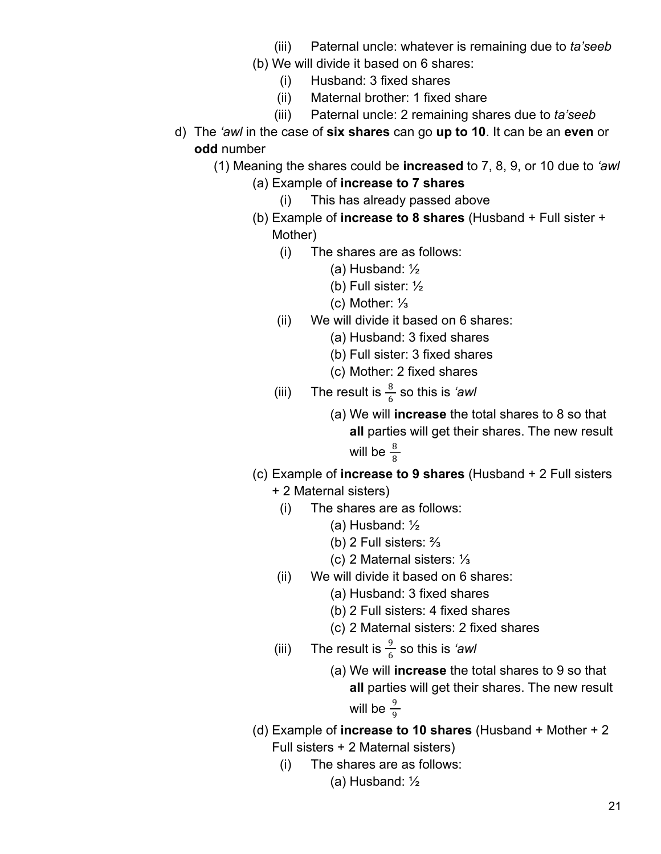- (iii) Paternal uncle: whatever is remaining due to *ta'seeb*
- (b) We will divide it based on 6 shares:
	- (i) Husband: 3 fixed shares
	- (ii) Maternal brother: 1 fixed share
	- (iii) Paternal uncle: 2 remaining shares due to *ta'seeb*
- d) The *'awl* in the case of **six shares** can go **up to 10**. It can be an **even** or **odd** number
	- (1) Meaning the shares could be **increased** to 7, 8, 9, or 10 due to *'awl*
		- (a) Example of **increase to 7 shares**
			- (i) This has already passed above
		- (b) Example of **increase to 8 shares** (Husband + Full sister + Mother)
			- (i) The shares are as follows:
				- (a) Husband: ½
				- (b) Full sister: ½
				- (c) Mother: ⅓
			- (ii) We will divide it based on 6 shares:
				- (a) Husband: 3 fixed shares
				- (b) Full sister: 3 fixed shares
				- (c) Mother: 2 fixed shares
			- (iii) The result is  $\frac{8}{6}$  so this is *'awl* 
				- (a) We will **increase** the total shares to 8 so that **all** parties will get their shares. The new result will be  $\frac{8}{8}$
		- (c) Example of **increase to 9 shares** (Husband + 2 Full sisters
			- + 2 Maternal sisters)
				- (i) The shares are as follows:
					- (a) Husband: ½
					- (b) 2 Full sisters: ⅔
					- (c) 2 Maternal sisters: ⅓
			- (ii) We will divide it based on 6 shares:
				- (a) Husband: 3 fixed shares
				- (b) 2 Full sisters: 4 fixed shares
				- (c) 2 Maternal sisters: 2 fixed shares
			- (iii) The result is  $\frac{9}{6}$  so this is *'awl* 
				- (a) We will **increase** the total shares to 9 so that **all** parties will get their shares. The new result will be  $\frac{9}{9}$
		- (d) Example of **increase to 10 shares** (Husband + Mother + 2 Full sisters + 2 Maternal sisters)
			- (i) The shares are as follows:
				- (a) Husband: ½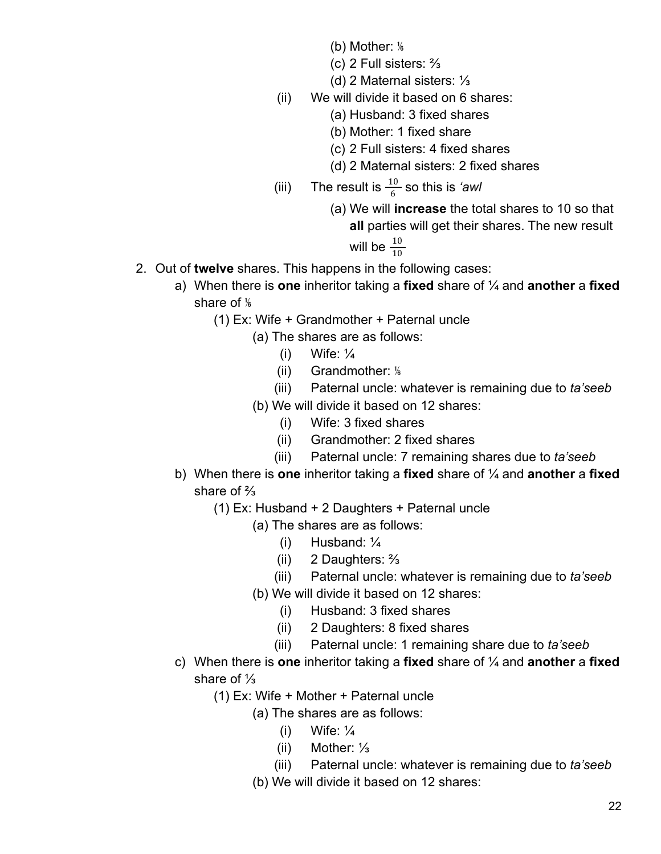- (b) Mother: ⅙
- (c) 2 Full sisters: ⅔
- (d) 2 Maternal sisters: ⅓
- (ii) We will divide it based on 6 shares:
	- (a) Husband: 3 fixed shares
	- (b) Mother: 1 fixed share
	- (c) 2 Full sisters: 4 fixed shares
	- (d) 2 Maternal sisters: 2 fixed shares
- (iii) The result is  $\frac{10}{6}$  so this is *'awl* 
	- (a) We will **increase** the total shares to 10 so that **all** parties will get their shares. The new result will be  $\frac{10}{10}$
- 2. Out of **twelve** shares. This happens in the following cases:
	- a) When there is **one** inheritor taking a **fixed** share of ¼ and **another** a **fixed** share of  $\frac{1}{6}$ 
		- (1) Ex: Wife + Grandmother + Paternal uncle
			- (a) The shares are as follows:
				- (i) Wife:  $\frac{1}{4}$
				- (ii) Grandmother: ⅙
				- (iii) Paternal uncle: whatever is remaining due to *ta'seeb*
			- (b) We will divide it based on 12 shares:
				- (i) Wife: 3 fixed shares
				- (ii) Grandmother: 2 fixed shares
				- (iii) Paternal uncle: 7 remaining shares due to *ta'seeb*
	- b) When there is **one** inheritor taking a **fixed** share of ¼ and **another** a **fixed** share of ⅔
		- (1) Ex: Husband + 2 Daughters + Paternal uncle
			- (a) The shares are as follows:
				- (i) Husband: ¼
				- (ii) 2 Daughters: ⅔
				- (iii) Paternal uncle: whatever is remaining due to *ta'seeb*
			- (b) We will divide it based on 12 shares:
				- (i) Husband: 3 fixed shares
				- (ii) 2 Daughters: 8 fixed shares
				- (iii) Paternal uncle: 1 remaining share due to *ta'seeb*
	- c) When there is **one** inheritor taking a **fixed** share of ¼ and **another** a **fixed** share of ⅓
		- (1) Ex: Wife + Mother + Paternal uncle
			- (a) The shares are as follows:
				- (i) Wife:  $\frac{1}{4}$
				- (ii) Mother: ⅓
				- (iii) Paternal uncle: whatever is remaining due to *ta'seeb*
			- (b) We will divide it based on 12 shares: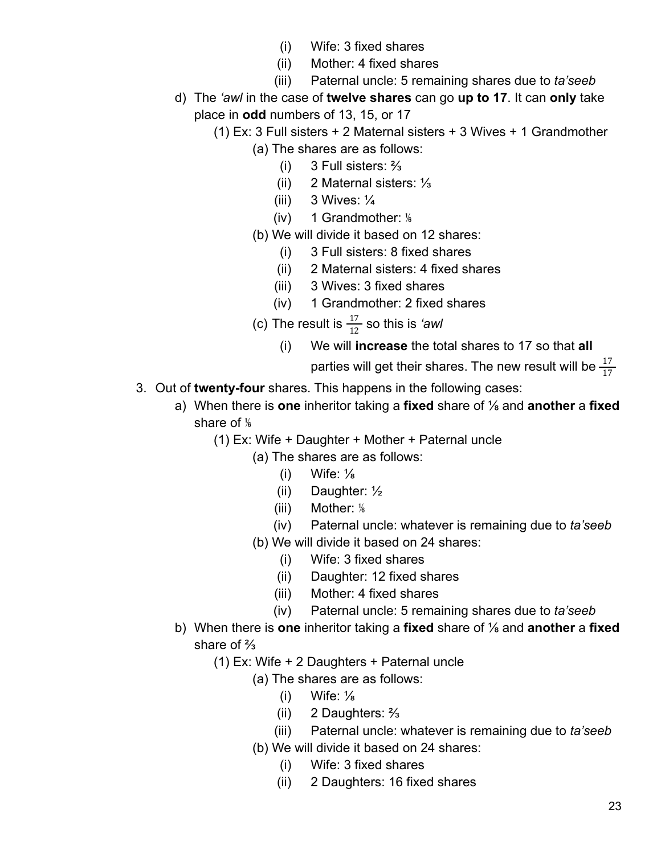- (i) Wife: 3 fixed shares
- (ii) Mother: 4 fixed shares
- (iii) Paternal uncle: 5 remaining shares due to *ta'seeb*
- d) The *'awl* in the case of **twelve shares** can go **up to 17**. It can **only** take place in **odd** numbers of 13, 15, or 17
	- (1) Ex: 3 Full sisters + 2 Maternal sisters + 3 Wives + 1 Grandmother (a) The shares are as follows:
		- (i) 3 Full sisters: ⅔
		- (ii) 2 Maternal sisters: ⅓
		- (iii)  $3$  Wives:  $\frac{1}{4}$
		- (iv) 1 Grandmother:  $\frac{1}{6}$
		- (b) We will divide it based on 12 shares:
			- (i) 3 Full sisters: 8 fixed shares
			- (ii) 2 Maternal sisters: 4 fixed shares
			- (iii) 3 Wives: 3 fixed shares
			- (iv) 1 Grandmother: 2 fixed shares
		- (c) The result is  $\frac{17}{12}$  so this is *'awl* 
			- (i) We will **increase** the total shares to 17 so that **all**

parties will get their shares. The new result will be  $\frac{17}{17}$ 

- 3. Out of **twenty-four** shares. This happens in the following cases:
	- a) When there is **one** inheritor taking a **fixed** share of ⅛ and **another** a **fixed** share of  $\frac{1}{6}$ 
		- (1) Ex: Wife + Daughter + Mother + Paternal uncle
			- (a) The shares are as follows:
				- (i) Wife:  $\frac{1}{8}$
				- (ii) Daughter: ½
				- $(iii)$  Mother:  $\frac{1}{6}$
				- (iv) Paternal uncle: whatever is remaining due to *ta'seeb*
			- (b) We will divide it based on 24 shares:
				- (i) Wife: 3 fixed shares
				- (ii) Daughter: 12 fixed shares
				- (iii) Mother: 4 fixed shares
				- (iv) Paternal uncle: 5 remaining shares due to *ta'seeb*
	- b) When there is **one** inheritor taking a **fixed** share of ⅛ and **another** a **fixed** share of ⅔
		- (1) Ex: Wife + 2 Daughters + Paternal uncle
			- (a) The shares are as follows:
				- $(i)$  Wife:  $\frac{1}{8}$
				- (ii) 2 Daughters: ⅔
				- (iii) Paternal uncle: whatever is remaining due to *ta'seeb*
			- (b) We will divide it based on 24 shares:
				- (i) Wife: 3 fixed shares
				- (ii) 2 Daughters: 16 fixed shares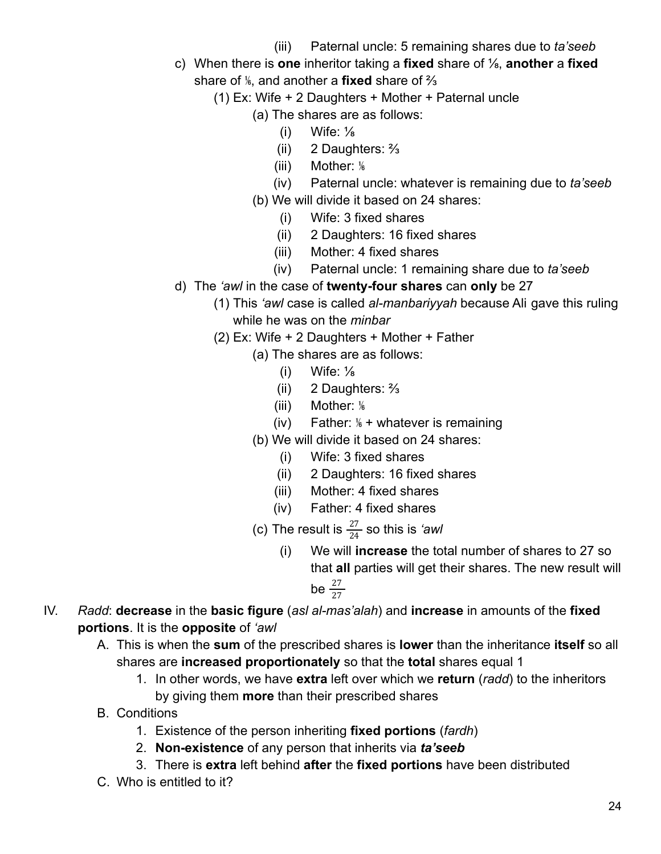- (iii) Paternal uncle: 5 remaining shares due to *ta'seeb*
- c) When there is **one** inheritor taking a **fixed** share of ⅛, **another** a **fixed** share of ⅙, and another a **fixed** share of ⅔
	- (1) Ex: Wife + 2 Daughters + Mother + Paternal uncle
		- (a) The shares are as follows:
			- $(i)$  Wife:  $\frac{1}{8}$
			- (ii) 2 Daughters: ⅔
			- (iii) Mother: %
			- (iv) Paternal uncle: whatever is remaining due to *ta'seeb*
		- (b) We will divide it based on 24 shares:
			- (i) Wife: 3 fixed shares
			- (ii) 2 Daughters: 16 fixed shares
			- (iii) Mother: 4 fixed shares
			- (iv) Paternal uncle: 1 remaining share due to *ta'seeb*
- d) The *'awl* in the case of **twenty-four shares** can **only** be 27
	- (1) This *'awl* case is called *al-manbariyyah* because Ali gave this ruling while he was on the *minbar*
	- (2) Ex: Wife + 2 Daughters + Mother + Father
		- (a) The shares are as follows:
			- $(i)$  Wife:  $\frac{1}{8}$
			- (ii) 2 Daughters: ⅔
			- $(iii)$  Mother:  $\frac{1}{6}$
			- (iv) Father:  $\frac{1}{6}$  + whatever is remaining
		- (b) We will divide it based on 24 shares:
			- (i) Wife: 3 fixed shares
			- (ii) 2 Daughters: 16 fixed shares
			- (iii) Mother: 4 fixed shares
			- (iv) Father: 4 fixed shares
		- (c) The result is  $\frac{27}{24}$  so this is *'awl* 
			- (i) We will **increase** the total number of shares to 27 so that **all** parties will get their shares. The new result will be  $\frac{27}{27}$
- IV. *Radd*: **decrease** in the **basic figure** (*asl al-mas'alah*) and **increase** in amounts of the **fixed portions**. It is the **opposite** of *'awl*
	- A. This is when the **sum** of the prescribed shares is **lower** than the inheritance **itself** so all shares are **increased proportionately** so that the **total** shares equal 1
		- 1. In other words, we have **extra** left over which we **return** (*radd*) to the inheritors by giving them **more** than their prescribed shares
	- B. Conditions
		- 1. Existence of the person inheriting **fixed portions** (*fardh*)
		- 2. **Non-existence** of any person that inherits via *ta'seeb*
		- 3. There is **extra** left behind **after** the **fixed portions** have been distributed
	- C. Who is entitled to it?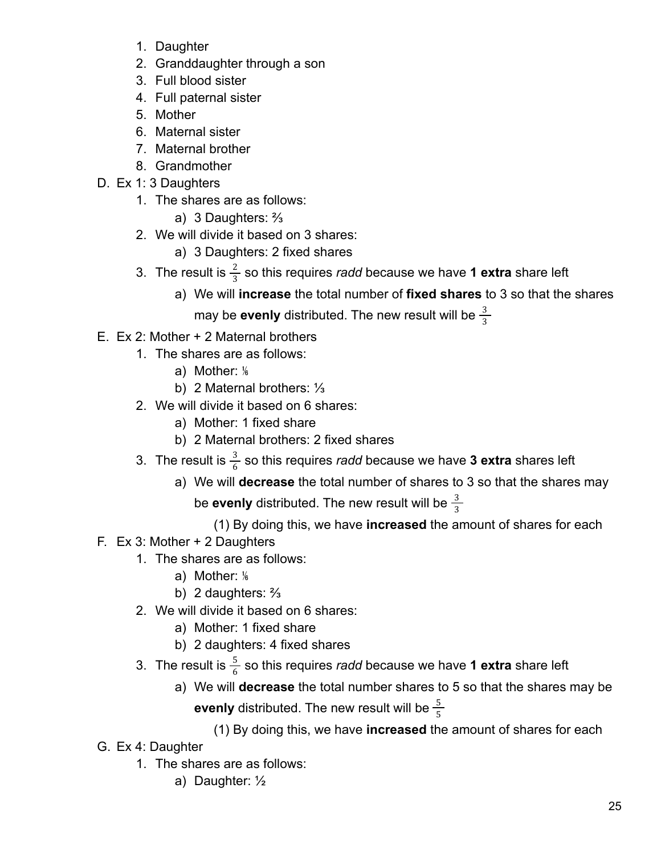- 1. Daughter
- 2. Granddaughter through a son
- 3. Full blood sister
- 4. Full paternal sister
- 5. Mother
- 6. Maternal sister
- 7. Maternal brother
- 8. Grandmother
- D. Ex 1: 3 Daughters
	- 1. The shares are as follows:
		- a) 3 Daughters: ⅔
	- 2. We will divide it based on 3 shares:
		- a) 3 Daughters: 2 fixed shares
	- 3. The result is  $\frac{2}{3}$  so this requires *radd* because we have **1 extra** share left
		- a) We will **increase** the total number of **fixed shares** to 3 so that the shares may be **evenly** distributed. The new result will be  $\frac{3}{3}$
- E. Ex 2: Mother + 2 Maternal brothers
	- 1. The shares are as follows:
		- a) Mother: %
		- b) 2 Maternal brothers: ⅓
	- 2. We will divide it based on 6 shares:
		- a) Mother: 1 fixed share
		- b) 2 Maternal brothers: 2 fixed shares
	- 3. The result is  $\frac{3}{6}$  so this requires *radd* because we have **3 extra** shares left
		- a) We will **decrease** the total number of shares to 3 so that the shares may be **evenly** distributed. The new result will be  $\frac{3}{3}$ 
			- (1) By doing this, we have **increased** the amount of shares for each
- F. Ex 3: Mother + 2 Daughters
	- 1. The shares are as follows:
		- a) Mother: %
		- b) 2 daughters: ⅔
	- 2. We will divide it based on 6 shares:
		- a) Mother: 1 fixed share
		- b) 2 daughters: 4 fixed shares
	- 3. The result is  $\frac{5}{6}$  so this requires *radd* because we have **1 extra** share left
		- a) We will **decrease** the total number shares to 5 so that the shares may be **evenly** distributed. The new result will be  $\frac{5}{5}$ 
			- (1) By doing this, we have **increased** the amount of shares for each
- G. Ex 4: Daughter
	- 1. The shares are as follows:
		- a) Daughter: ½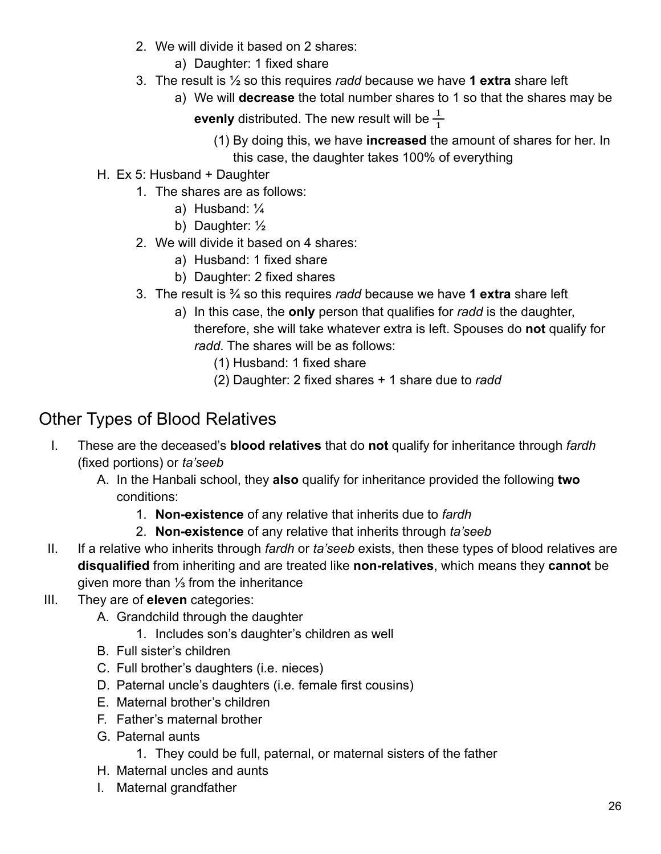- 2. We will divide it based on 2 shares:
	- a) Daughter: 1 fixed share
- 3. The result is ½ so this requires *radd* because we have **1 extra** share left
	- a) We will **decrease** the total number shares to 1 so that the shares may be **evenly** distributed. The new result will be  $\frac{1}{1}$ 
		- (1) By doing this, we have **increased** the amount of shares for her. In this case, the daughter takes 100% of everything
- H. Ex 5: Husband + Daughter
	- 1. The shares are as follows:
		- a) Husband: ¼
		- b) Daughter: ½
	- 2. We will divide it based on 4 shares:
		- a) Husband: 1 fixed share
		- b) Daughter: 2 fixed shares
	- 3. The result is ¾ so this requires *radd* because we have **1 extra** share left
		- a) In this case, the **only** person that qualifies for *radd* is the daughter, therefore, she will take whatever extra is left. Spouses do **not** qualify for *radd*. The shares will be as follows:
			- (1) Husband: 1 fixed share
			- (2) Daughter: 2 fixed shares + 1 share due to *radd*

# <span id="page-25-0"></span>Other Types of Blood Relatives

- I. These are the deceased's **blood relatives** that do **not** qualify for inheritance through *fardh* (fixed portions) or *ta'seeb*
	- A. In the Hanbali school, they **also** qualify for inheritance provided the following **two** conditions:
		- 1. **Non-existence** of any relative that inherits due to *fardh*
		- 2. **Non-existence** of any relative that inherits through *ta'seeb*
- II. If a relative who inherits through *fardh* or *ta'seeb* exists, then these types of blood relatives are **disqualified** from inheriting and are treated like **non-relatives**, which means they **cannot** be given more than ⅓ from the inheritance
- III. They are of **eleven** categories:
	- A. Grandchild through the daughter
		- 1. Includes son's daughter's children as well
	- B. Full sister's children
	- C. Full brother's daughters (i.e. nieces)
	- D. Paternal uncle's daughters (i.e. female first cousins)
	- E. Maternal brother's children
	- F. Father's maternal brother
	- G. Paternal aunts
		- 1. They could be full, paternal, or maternal sisters of the father
	- H. Maternal uncles and aunts
	- I. Maternal grandfather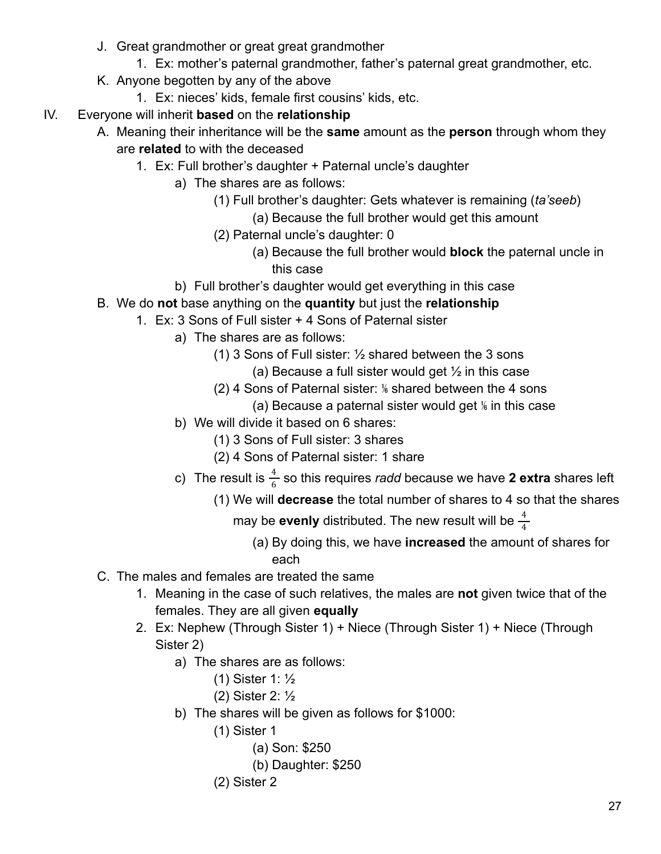- J. Great grandmother or great great grandmother
	- 1. Ex: mother's paternal grandmother, father's paternal great grandmother, etc.
- K. Anyone begotten by any of the above
	- 1. Ex: nieces' kids, female first cousins' kids, etc.
- IV. Everyone will inherit **based** on the **relationship**
	- A. Meaning their inheritance will be the **same** amount as the **person** through whom they are **related** to with the deceased
		- 1. Ex: Full brother's daughter + Paternal uncle's daughter
			- a) The shares are as follows:
				- (1) Full brother's daughter: Gets whatever is remaining (*ta'seeb*)
					- (a) Because the full brother would get this amount
				- (2) Paternal uncle's daughter: 0
					- (a) Because the full brother would **block** the paternal uncle in this case
			- b) Full brother's daughter would get everything in this case
	- B. We do **not** base anything on the **quantity** but just the **relationship**
		- 1. Ex: 3 Sons of Full sister + 4 Sons of Paternal sister
			- a) The shares are as follows:
				- (1) 3 Sons of Full sister: ½ shared between the 3 sons
					- (a) Because a full sister would get  $\frac{1}{2}$  in this case
				- (2) 4 Sons of Paternal sister: ⅙ shared between the 4 sons
					- (a) Because a paternal sister would get  $%$  in this case
			- b) We will divide it based on 6 shares:
				- (1) 3 Sons of Full sister: 3 shares
				- (2) 4 Sons of Paternal sister: 1 share
			- c) The result is  $\frac{4}{6}$  so this requires *radd* because we have **2 extra** shares left
				- (1) We will **decrease** the total number of shares to 4 so that the shares
					- may be  $\mathop{\mathsf{even}}$ ly distributed. The new result will be  $\frac{4}{4}$ 
						- (a) By doing this, we have **increased** the amount of shares for each
	- C. The males and females are treated the same
		- 1. Meaning in the case of such relatives, the males are **not** given twice that of the females. They are all given **equally**
		- 2. Ex: Nephew (Through Sister 1) + Niece (Through Sister 1) + Niece (Through Sister 2)
			- a) The shares are as follows:
				- (1) Sister 1: ½
				- (2) Sister 2: ½
			- b) The shares will be given as follows for \$1000:
				- (1) Sister 1
					- (a) Son: \$250
					- (b) Daughter: \$250
				- (2) Sister 2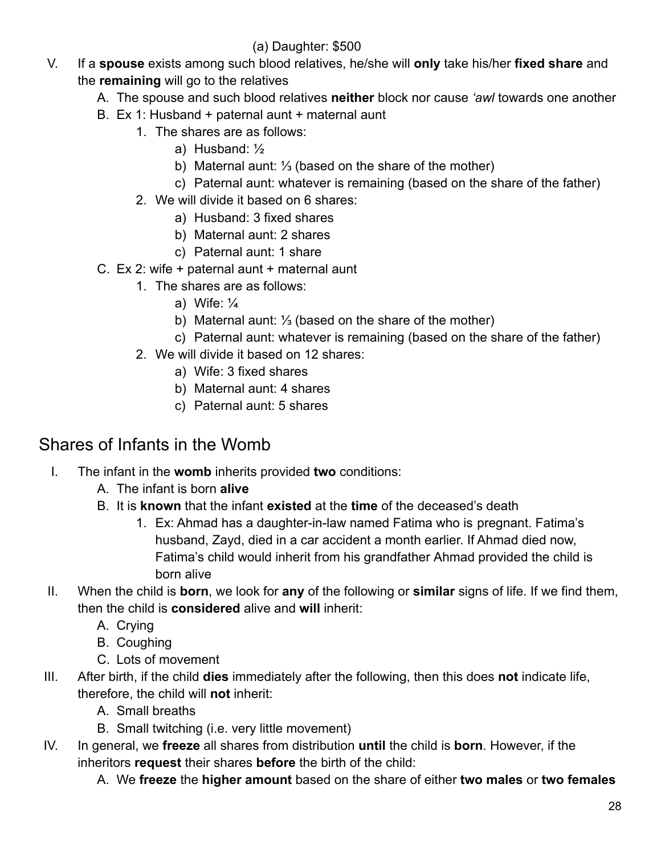#### (a) Daughter: \$500

- V. If a **spouse** exists among such blood relatives, he/she will **only** take his/her **fixed share** and the **remaining** will go to the relatives
	- A. The spouse and such blood relatives **neither** block nor cause *'awl* towards one another
	- B. Ex 1: Husband + paternal aunt + maternal aunt
		- 1. The shares are as follows:
			- a) Husband: ½
			- b) Maternal aunt: ⅓ (based on the share of the mother)
			- c) Paternal aunt: whatever is remaining (based on the share of the father)
		- 2. We will divide it based on 6 shares:
			- a) Husband: 3 fixed shares
			- b) Maternal aunt: 2 shares
			- c) Paternal aunt: 1 share
	- C. Ex 2: wife + paternal aunt + maternal aunt
		- 1. The shares are as follows:
			- a) Wife: ¼
			- b) Maternal aunt: ⅓ (based on the share of the mother)
			- c) Paternal aunt: whatever is remaining (based on the share of the father)
		- 2. We will divide it based on 12 shares:
			- a) Wife: 3 fixed shares
			- b) Maternal aunt: 4 shares
			- c) Paternal aunt: 5 shares

## <span id="page-27-0"></span>Shares of Infants in the Womb

- I. The infant in the **womb** inherits provided **two** conditions:
	- A. The infant is born **alive**
	- B. It is **known** that the infant **existed** at the **time** of the deceased's death
		- 1. Ex: Ahmad has a daughter-in-law named Fatima who is pregnant. Fatima's husband, Zayd, died in a car accident a month earlier. If Ahmad died now, Fatima's child would inherit from his grandfather Ahmad provided the child is born alive
- II. When the child is **born**, we look for **any** of the following or **similar** signs of life. If we find them, then the child is **considered** alive and **will** inherit:
	- A. Crying
	- B. Coughing
	- C. Lots of movement
- III. After birth, if the child **dies** immediately after the following, then this does **not** indicate life, therefore, the child will **not** inherit:
	- A. Small breaths
	- B. Small twitching (i.e. very little movement)
- IV. In general, we **freeze** all shares from distribution **until** the child is **born**. However, if the inheritors **request** their shares **before** the birth of the child:
	- A. We **freeze** the **higher amount** based on the share of either **two males** or **two females**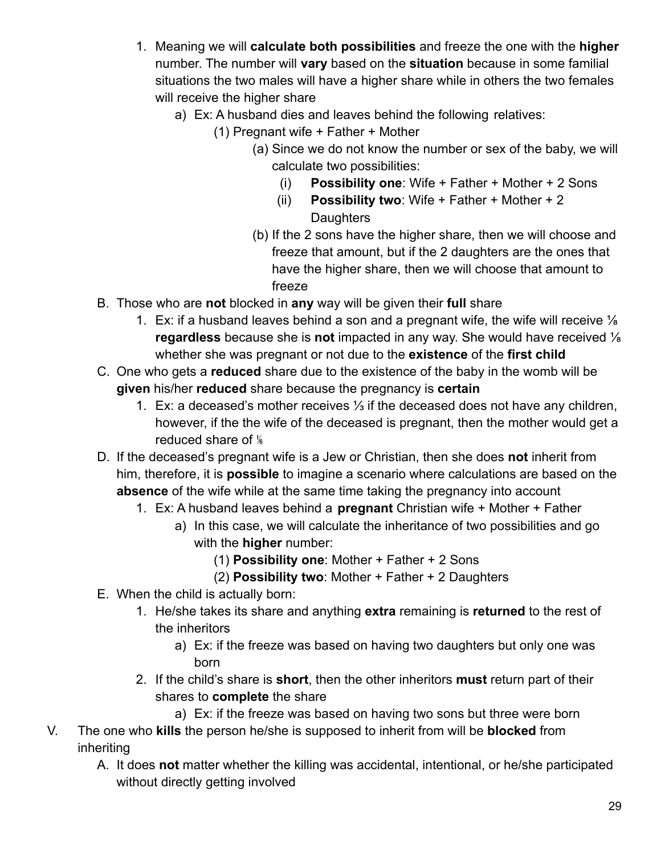- 1. Meaning we will **calculate both possibilities** and freeze the one with the **higher** number. The number will **vary** based on the **situation** because in some familial situations the two males will have a higher share while in others the two females will receive the higher share
	- a) Ex: A husband dies and leaves behind the following relatives:
		- (1) Pregnant wife + Father + Mother
			- (a) Since we do not know the number or sex of the baby, we will calculate two possibilities:
				- (i) **Possibility one**: Wife + Father + Mother + 2 Sons
				- (ii) **Possibility two**: Wife + Father + Mother + 2 **Daughters**
			- (b) If the 2 sons have the higher share, then we will choose and freeze that amount, but if the 2 daughters are the ones that have the higher share, then we will choose that amount to freeze
- B. Those who are **not** blocked in **any** way will be given their **full** share
	- 1. Ex: if a husband leaves behind a son and a pregnant wife, the wife will receive  $\frac{1}{8}$ **regardless** because she is **not** impacted in any way. She would have received ⅛ whether she was pregnant or not due to the **existence** of the **first child**
- C. One who gets a **reduced** share due to the existence of the baby in the womb will be **given** his/her **reduced** share because the pregnancy is **certain**
	- 1. Ex: a deceased's mother receives ⅓ if the deceased does not have any children, however, if the the wife of the deceased is pregnant, then the mother would get a reduced share of  $\frac{1}{6}$
- D. If the deceased's pregnant wife is a Jew or Christian, then she does **not** inherit from him, therefore, it is **possible** to imagine a scenario where calculations are based on the **absence** of the wife while at the same time taking the pregnancy into account
	- 1. Ex: A husband leaves behind a **pregnant** Christian wife + Mother + Father
		- a) In this case, we will calculate the inheritance of two possibilities and go with the **higher** number:
			- (1) **Possibility one**: Mother + Father + 2 Sons
			- (2) **Possibility two**: Mother + Father + 2 Daughters
- E. When the child is actually born:
	- 1. He/she takes its share and anything **extra** remaining is **returned** to the rest of the inheritors
		- a) Ex: if the freeze was based on having two daughters but only one was born
	- 2. If the child's share is **short**, then the other inheritors **must** return part of their shares to **complete** the share
		- a) Ex: if the freeze was based on having two sons but three were born
- V. The one who **kills** the person he/she is supposed to inherit from will be **blocked** from inheriting
	- A. It does **not** matter whether the killing was accidental, intentional, or he/she participated without directly getting involved